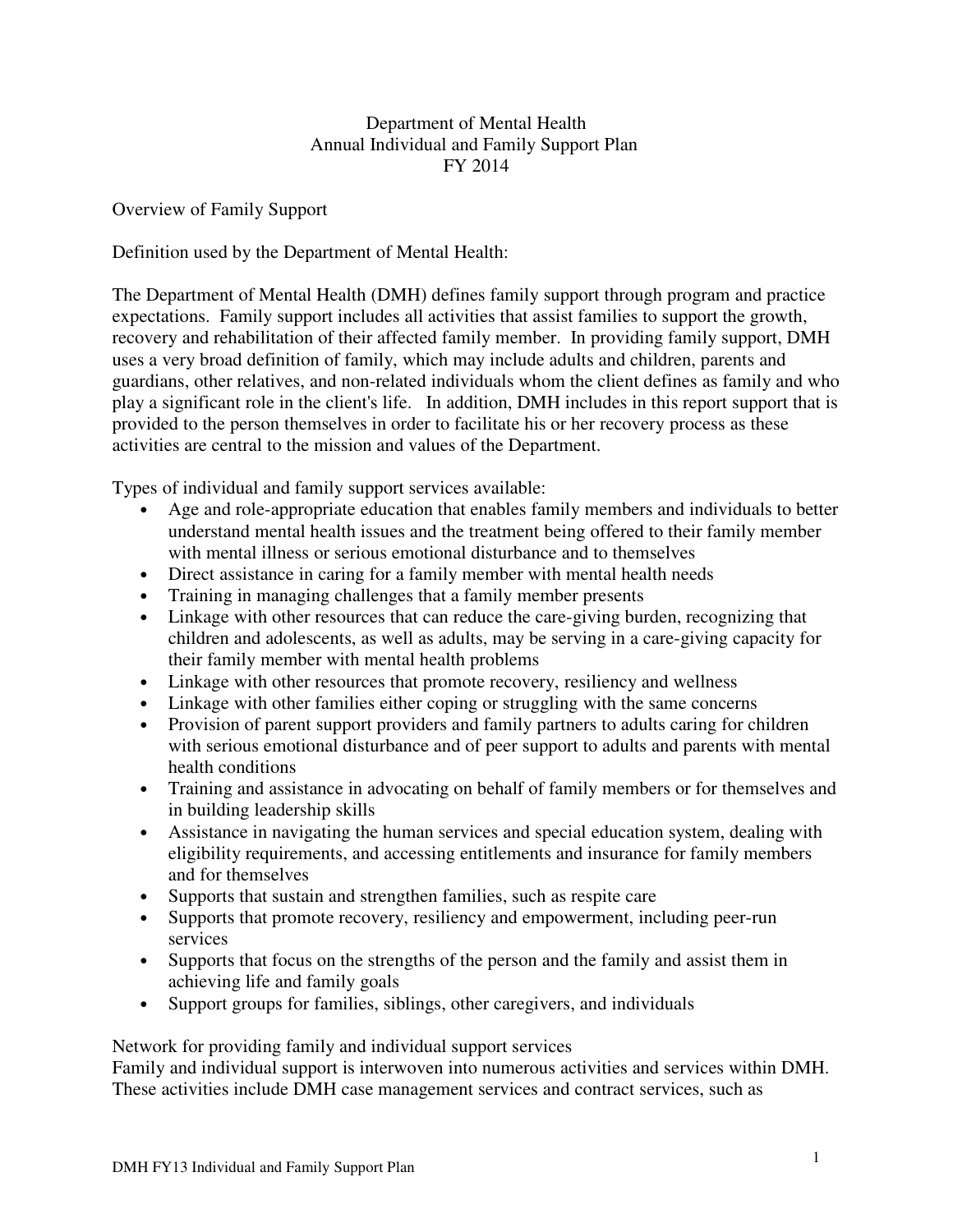### Department of Mental Health Annual Individual and Family Support Plan FY 2014

Overview of Family Support

Definition used by the Department of Mental Health:

The Department of Mental Health (DMH) defines family support through program and practice expectations. Family support includes all activities that assist families to support the growth, recovery and rehabilitation of their affected family member. In providing family support, DMH uses a very broad definition of family, which may include adults and children, parents and guardians, other relatives, and non-related individuals whom the client defines as family and who play a significant role in the client's life. In addition, DMH includes in this report support that is provided to the person themselves in order to facilitate his or her recovery process as these activities are central to the mission and values of the Department.

Types of individual and family support services available:

- Age and role-appropriate education that enables family members and individuals to better understand mental health issues and the treatment being offered to their family member with mental illness or serious emotional disturbance and to themselves
- Direct assistance in caring for a family member with mental health needs
- Training in managing challenges that a family member presents
- Linkage with other resources that can reduce the care-giving burden, recognizing that children and adolescents, as well as adults, may be serving in a care-giving capacity for their family member with mental health problems
- Linkage with other resources that promote recovery, resiliency and wellness
- Linkage with other families either coping or struggling with the same concerns
- Provision of parent support providers and family partners to adults caring for children with serious emotional disturbance and of peer support to adults and parents with mental health conditions
- Training and assistance in advocating on behalf of family members or for themselves and in building leadership skills
- Assistance in navigating the human services and special education system, dealing with eligibility requirements, and accessing entitlements and insurance for family members and for themselves
- Supports that sustain and strengthen families, such as respite care
- Supports that promote recovery, resiliency and empowerment, including peer-run services
- Supports that focus on the strengths of the person and the family and assist them in achieving life and family goals
- Support groups for families, siblings, other caregivers, and individuals

Network for providing family and individual support services

Family and individual support is interwoven into numerous activities and services within DMH. These activities include DMH case management services and contract services, such as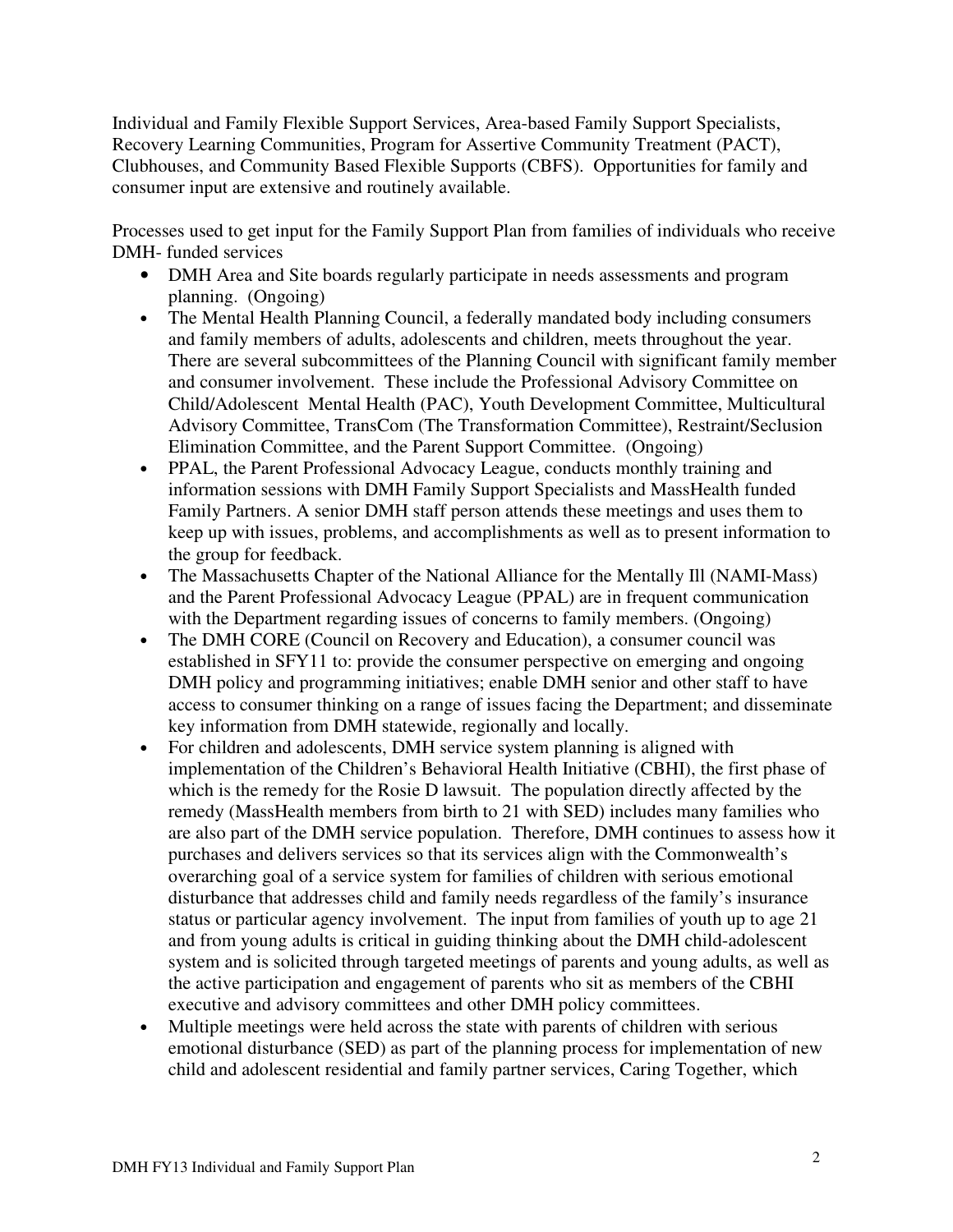Individual and Family Flexible Support Services, Area-based Family Support Specialists, Recovery Learning Communities, Program for Assertive Community Treatment (PACT), Clubhouses, and Community Based Flexible Supports (CBFS). Opportunities for family and consumer input are extensive and routinely available.

Processes used to get input for the Family Support Plan from families of individuals who receive DMH- funded services

- DMH Area and Site boards regularly participate in needs assessments and program planning. (Ongoing)
- The Mental Health Planning Council, a federally mandated body including consumers and family members of adults, adolescents and children, meets throughout the year. There are several subcommittees of the Planning Council with significant family member and consumer involvement. These include the Professional Advisory Committee on Child/Adolescent Mental Health (PAC), Youth Development Committee, Multicultural Advisory Committee, TransCom (The Transformation Committee), Restraint/Seclusion Elimination Committee, and the Parent Support Committee. (Ongoing)
- PPAL, the Parent Professional Advocacy League, conducts monthly training and information sessions with DMH Family Support Specialists and MassHealth funded Family Partners. A senior DMH staff person attends these meetings and uses them to keep up with issues, problems, and accomplishments as well as to present information to the group for feedback.
- The Massachusetts Chapter of the National Alliance for the Mentally Ill (NAMI-Mass) and the Parent Professional Advocacy League (PPAL) are in frequent communication with the Department regarding issues of concerns to family members. (Ongoing)
- The DMH CORE (Council on Recovery and Education), a consumer council was established in SFY11 to: provide the consumer perspective on emerging and ongoing DMH policy and programming initiatives; enable DMH senior and other staff to have access to consumer thinking on a range of issues facing the Department; and disseminate key information from DMH statewide, regionally and locally.
- For children and adolescents, DMH service system planning is aligned with implementation of the Children's Behavioral Health Initiative (CBHI), the first phase of which is the remedy for the Rosie D lawsuit. The population directly affected by the remedy (MassHealth members from birth to 21 with SED) includes many families who are also part of the DMH service population. Therefore, DMH continues to assess how it purchases and delivers services so that its services align with the Commonwealth's overarching goal of a service system for families of children with serious emotional disturbance that addresses child and family needs regardless of the family's insurance status or particular agency involvement. The input from families of youth up to age 21 and from young adults is critical in guiding thinking about the DMH child-adolescent system and is solicited through targeted meetings of parents and young adults, as well as the active participation and engagement of parents who sit as members of the CBHI executive and advisory committees and other DMH policy committees.
- Multiple meetings were held across the state with parents of children with serious emotional disturbance (SED) as part of the planning process for implementation of new child and adolescent residential and family partner services, Caring Together, which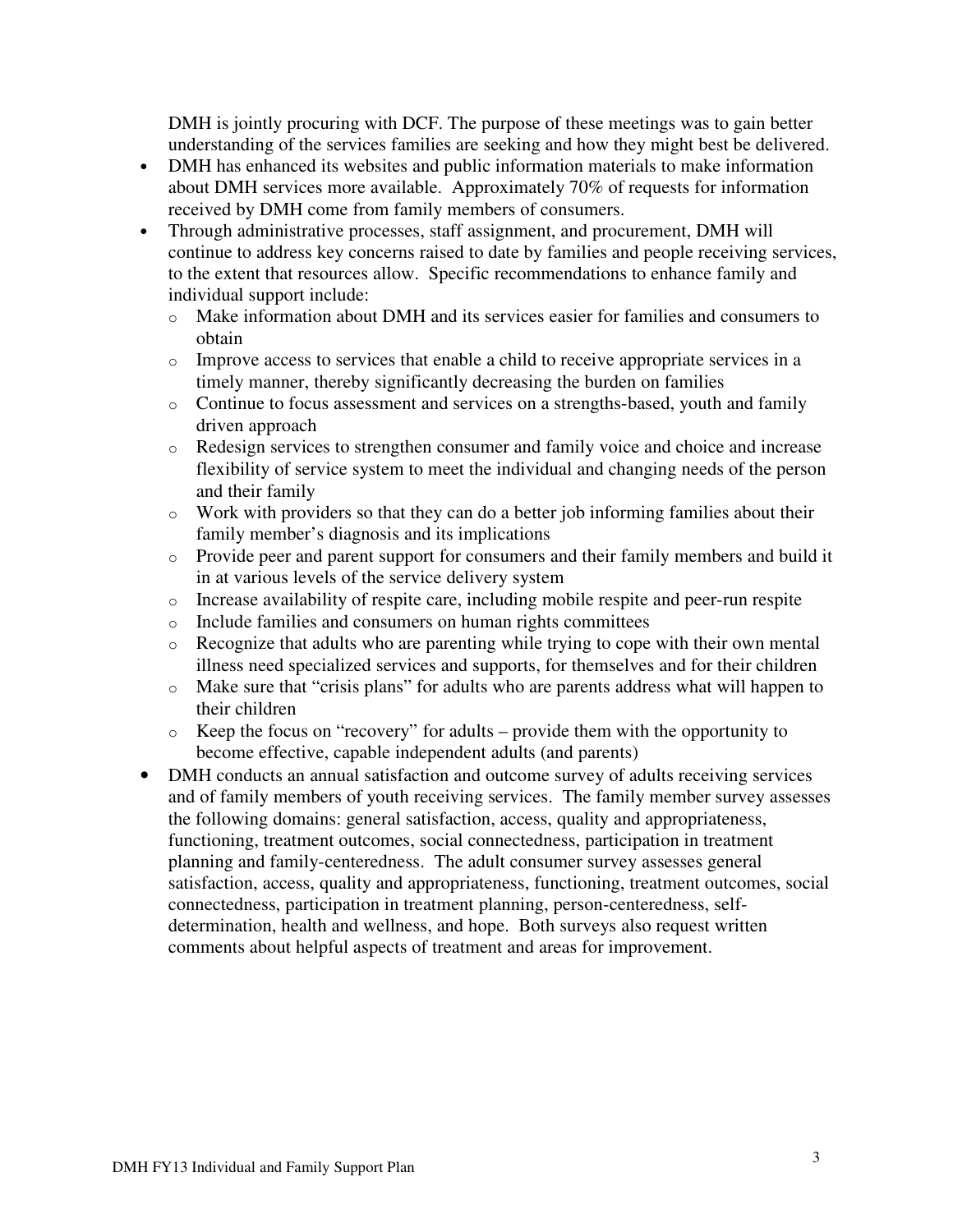DMH is jointly procuring with DCF. The purpose of these meetings was to gain better understanding of the services families are seeking and how they might best be delivered.

- DMH has enhanced its websites and public information materials to make information about DMH services more available. Approximately 70% of requests for information received by DMH come from family members of consumers.
- Through administrative processes, staff assignment, and procurement, DMH will continue to address key concerns raised to date by families and people receiving services, to the extent that resources allow. Specific recommendations to enhance family and individual support include:
	- $\circ$  Make information about DMH and its services easier for families and consumers to obtain
	- o Improve access to services that enable a child to receive appropriate services in a timely manner, thereby significantly decreasing the burden on families
	- o Continue to focus assessment and services on a strengths-based, youth and family driven approach
	- o Redesign services to strengthen consumer and family voice and choice and increase flexibility of service system to meet the individual and changing needs of the person and their family
	- o Work with providers so that they can do a better job informing families about their family member's diagnosis and its implications
	- o Provide peer and parent support for consumers and their family members and build it in at various levels of the service delivery system
	- o Increase availability of respite care, including mobile respite and peer-run respite
	- o Include families and consumers on human rights committees
	- o Recognize that adults who are parenting while trying to cope with their own mental illness need specialized services and supports, for themselves and for their children
	- o Make sure that "crisis plans" for adults who are parents address what will happen to their children
	- o Keep the focus on "recovery" for adults provide them with the opportunity to become effective, capable independent adults (and parents)
- DMH conducts an annual satisfaction and outcome survey of adults receiving services and of family members of youth receiving services. The family member survey assesses the following domains: general satisfaction, access, quality and appropriateness, functioning, treatment outcomes, social connectedness, participation in treatment planning and family-centeredness. The adult consumer survey assesses general satisfaction, access, quality and appropriateness, functioning, treatment outcomes, social connectedness, participation in treatment planning, person-centeredness, selfdetermination, health and wellness, and hope. Both surveys also request written comments about helpful aspects of treatment and areas for improvement.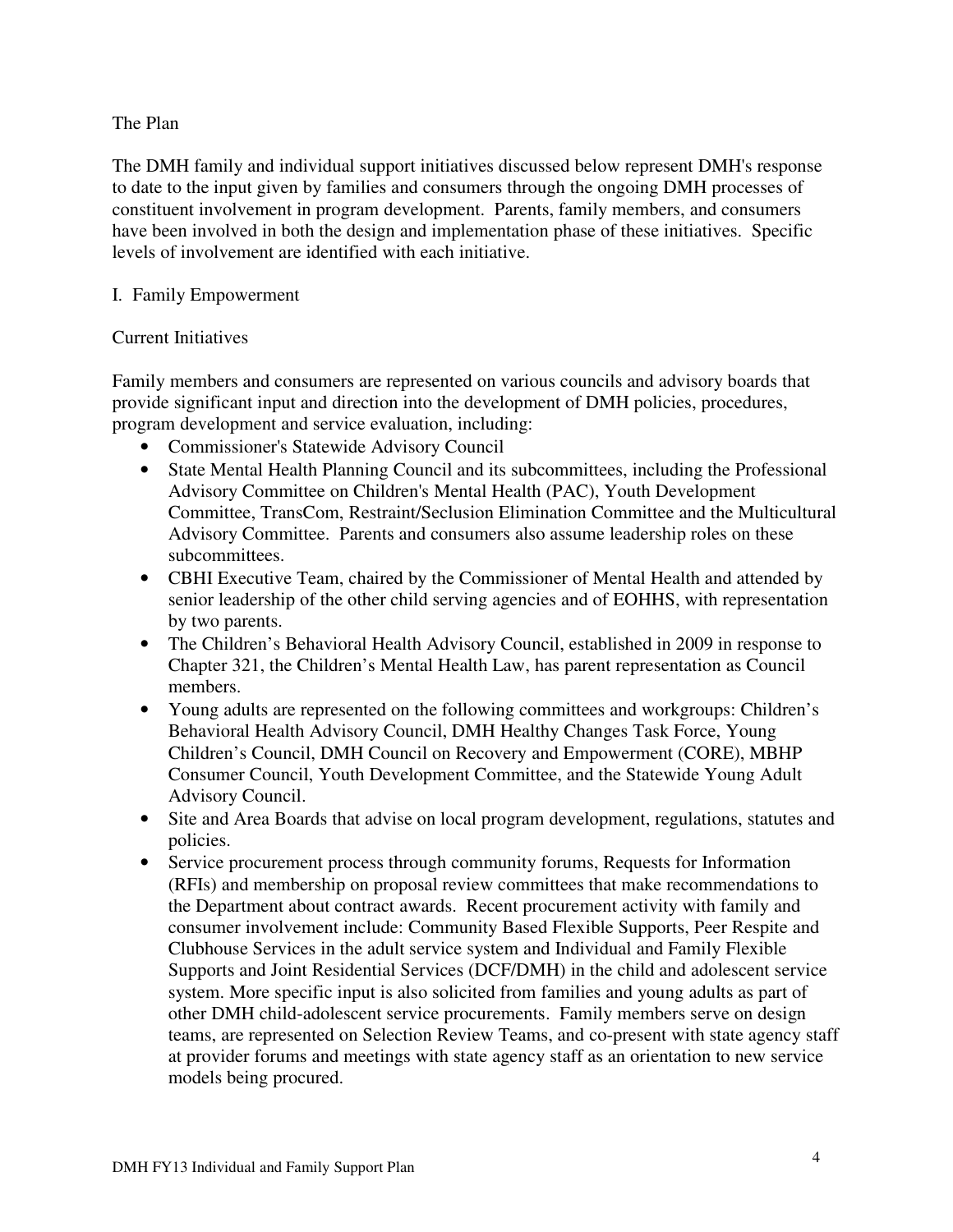### The Plan

The DMH family and individual support initiatives discussed below represent DMH's response to date to the input given by families and consumers through the ongoing DMH processes of constituent involvement in program development. Parents, family members, and consumers have been involved in both the design and implementation phase of these initiatives. Specific levels of involvement are identified with each initiative.

### I. Family Empowerment

### Current Initiatives

Family members and consumers are represented on various councils and advisory boards that provide significant input and direction into the development of DMH policies, procedures, program development and service evaluation, including:

- Commissioner's Statewide Advisory Council
- State Mental Health Planning Council and its subcommittees, including the Professional Advisory Committee on Children's Mental Health (PAC), Youth Development Committee, TransCom, Restraint/Seclusion Elimination Committee and the Multicultural Advisory Committee. Parents and consumers also assume leadership roles on these subcommittees.
- CBHI Executive Team, chaired by the Commissioner of Mental Health and attended by senior leadership of the other child serving agencies and of EOHHS, with representation by two parents.
- The Children's Behavioral Health Advisory Council, established in 2009 in response to Chapter 321, the Children's Mental Health Law, has parent representation as Council members.
- Young adults are represented on the following committees and workgroups: Children's Behavioral Health Advisory Council, DMH Healthy Changes Task Force, Young Children's Council, DMH Council on Recovery and Empowerment (CORE), MBHP Consumer Council, Youth Development Committee, and the Statewide Young Adult Advisory Council.
- Site and Area Boards that advise on local program development, regulations, statutes and policies.
- Service procurement process through community forums, Requests for Information (RFIs) and membership on proposal review committees that make recommendations to the Department about contract awards. Recent procurement activity with family and consumer involvement include: Community Based Flexible Supports, Peer Respite and Clubhouse Services in the adult service system and Individual and Family Flexible Supports and Joint Residential Services (DCF/DMH) in the child and adolescent service system. More specific input is also solicited from families and young adults as part of other DMH child-adolescent service procurements. Family members serve on design teams, are represented on Selection Review Teams, and co-present with state agency staff at provider forums and meetings with state agency staff as an orientation to new service models being procured.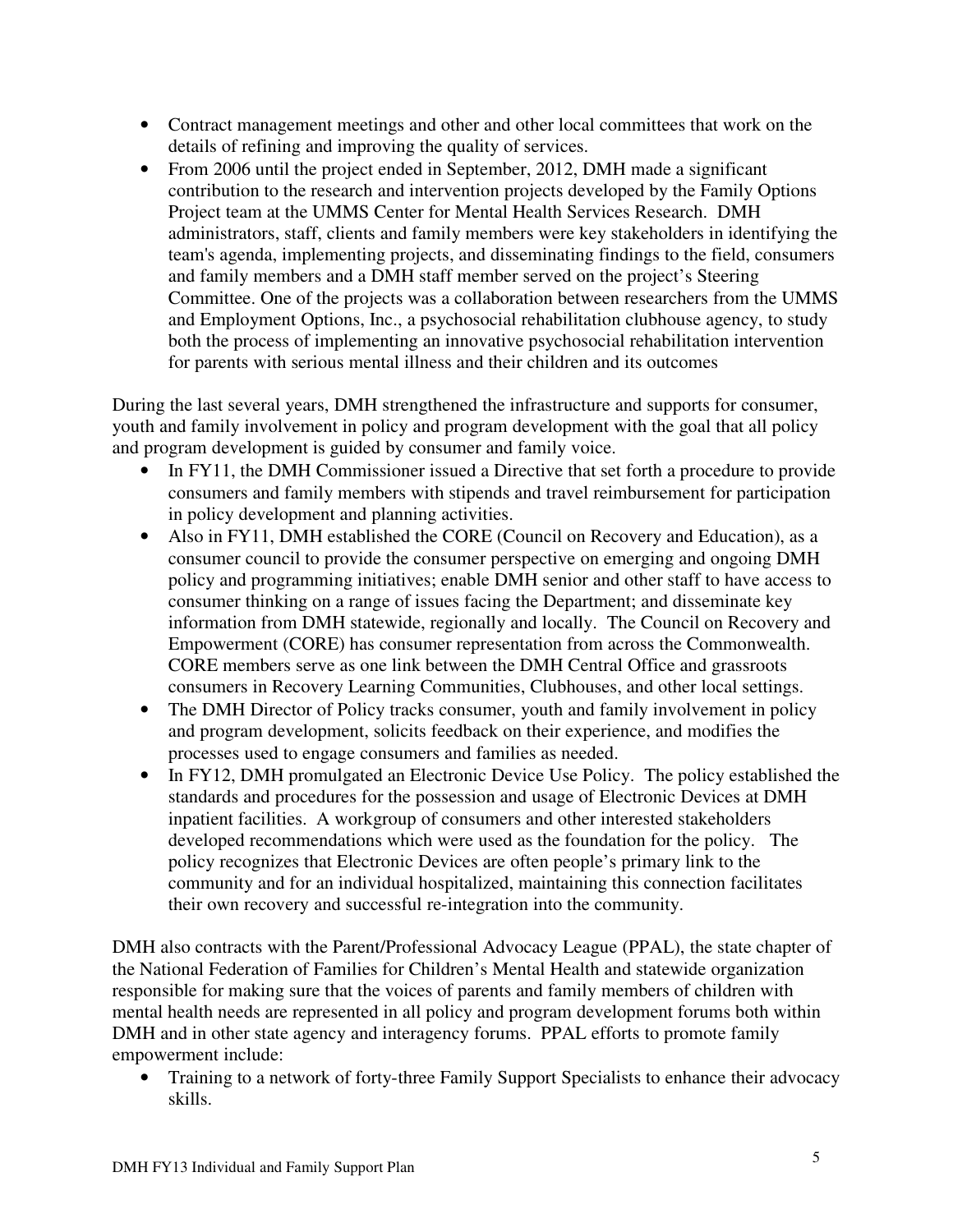- Contract management meetings and other and other local committees that work on the details of refining and improving the quality of services.
- From 2006 until the project ended in September, 2012, DMH made a significant contribution to the research and intervention projects developed by the Family Options Project team at the UMMS Center for Mental Health Services Research. DMH administrators, staff, clients and family members were key stakeholders in identifying the team's agenda, implementing projects, and disseminating findings to the field, consumers and family members and a DMH staff member served on the project's Steering Committee. One of the projects was a collaboration between researchers from the UMMS and Employment Options, Inc., a psychosocial rehabilitation clubhouse agency, to study both the process of implementing an innovative psychosocial rehabilitation intervention for parents with serious mental illness and their children and its outcomes

During the last several years, DMH strengthened the infrastructure and supports for consumer, youth and family involvement in policy and program development with the goal that all policy and program development is guided by consumer and family voice.

- In FY11, the DMH Commissioner issued a Directive that set forth a procedure to provide consumers and family members with stipends and travel reimbursement for participation in policy development and planning activities.
- Also in FY11, DMH established the CORE (Council on Recovery and Education), as a consumer council to provide the consumer perspective on emerging and ongoing DMH policy and programming initiatives; enable DMH senior and other staff to have access to consumer thinking on a range of issues facing the Department; and disseminate key information from DMH statewide, regionally and locally. The Council on Recovery and Empowerment (CORE) has consumer representation from across the Commonwealth. CORE members serve as one link between the DMH Central Office and grassroots consumers in Recovery Learning Communities, Clubhouses, and other local settings.
- The DMH Director of Policy tracks consumer, youth and family involvement in policy and program development, solicits feedback on their experience, and modifies the processes used to engage consumers and families as needed.
- In FY12, DMH promulgated an Electronic Device Use Policy. The policy established the standards and procedures for the possession and usage of Electronic Devices at DMH inpatient facilities. A workgroup of consumers and other interested stakeholders developed recommendations which were used as the foundation for the policy. The policy recognizes that Electronic Devices are often people's primary link to the community and for an individual hospitalized, maintaining this connection facilitates their own recovery and successful re-integration into the community.

DMH also contracts with the Parent/Professional Advocacy League (PPAL), the state chapter of the National Federation of Families for Children's Mental Health and statewide organization responsible for making sure that the voices of parents and family members of children with mental health needs are represented in all policy and program development forums both within DMH and in other state agency and interagency forums. PPAL efforts to promote family empowerment include:

• Training to a network of forty-three Family Support Specialists to enhance their advocacy skills.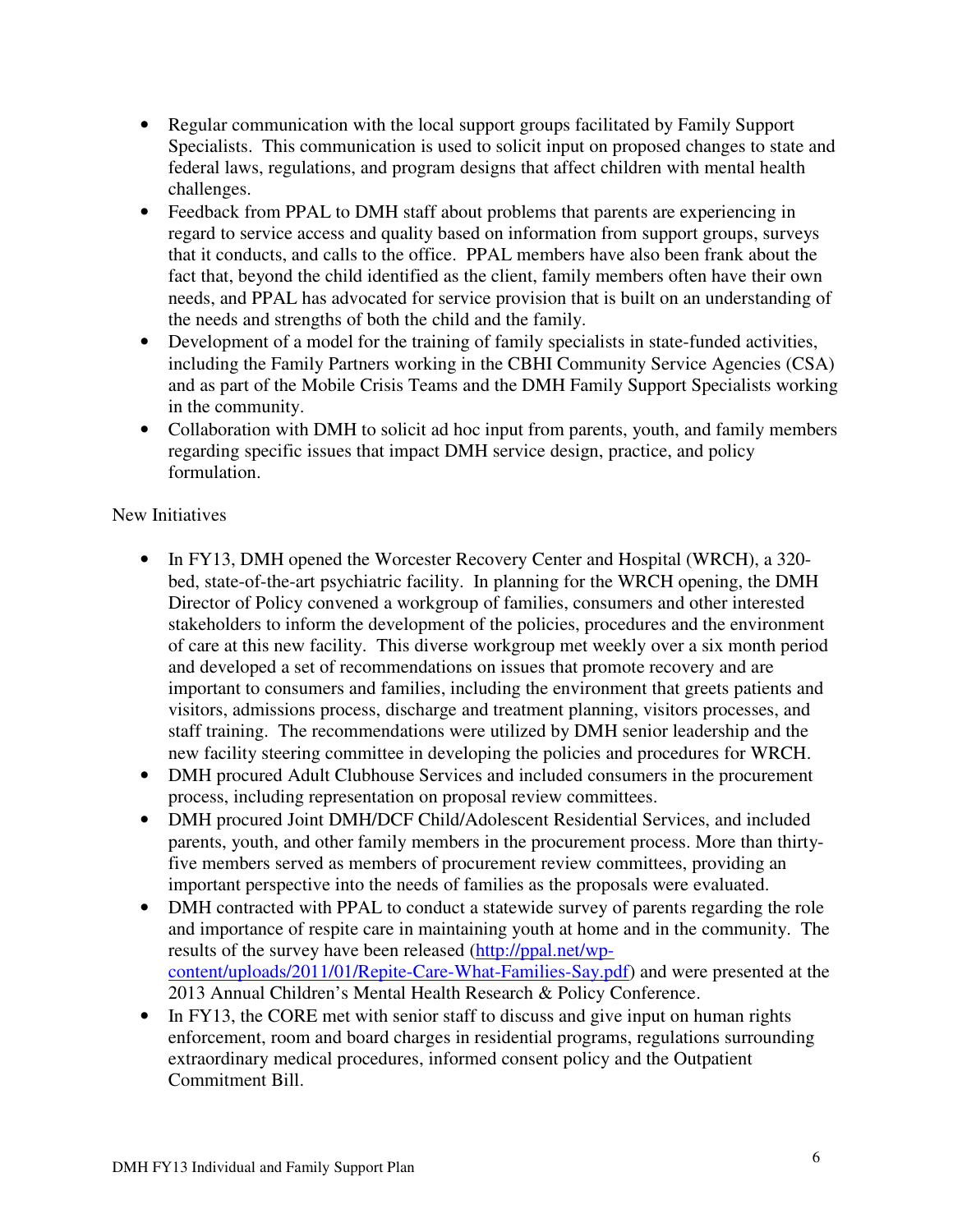- Regular communication with the local support groups facilitated by Family Support Specialists. This communication is used to solicit input on proposed changes to state and federal laws, regulations, and program designs that affect children with mental health challenges.
- Feedback from PPAL to DMH staff about problems that parents are experiencing in regard to service access and quality based on information from support groups, surveys that it conducts, and calls to the office. PPAL members have also been frank about the fact that, beyond the child identified as the client, family members often have their own needs, and PPAL has advocated for service provision that is built on an understanding of the needs and strengths of both the child and the family.
- Development of a model for the training of family specialists in state-funded activities, including the Family Partners working in the CBHI Community Service Agencies (CSA) and as part of the Mobile Crisis Teams and the DMH Family Support Specialists working in the community.
- Collaboration with DMH to solicit ad hoc input from parents, youth, and family members regarding specific issues that impact DMH service design, practice, and policy formulation.

## New Initiatives

- In FY13, DMH opened the Worcester Recovery Center and Hospital (WRCH), a 320bed, state-of-the-art psychiatric facility. In planning for the WRCH opening, the DMH Director of Policy convened a workgroup of families, consumers and other interested stakeholders to inform the development of the policies, procedures and the environment of care at this new facility. This diverse workgroup met weekly over a six month period and developed a set of recommendations on issues that promote recovery and are important to consumers and families, including the environment that greets patients and visitors, admissions process, discharge and treatment planning, visitors processes, and staff training. The recommendations were utilized by DMH senior leadership and the new facility steering committee in developing the policies and procedures for WRCH.
- DMH procured Adult Clubhouse Services and included consumers in the procurement process, including representation on proposal review committees.
- DMH procured Joint DMH/DCF Child/Adolescent Residential Services, and included parents, youth, and other family members in the procurement process. More than thirtyfive members served as members of procurement review committees, providing an important perspective into the needs of families as the proposals were evaluated.
- DMH contracted with PPAL to conduct a statewide survey of parents regarding the role and importance of respite care in maintaining youth at home and in the community. The results of the survey have been released (http://ppal.net/wpcontent/uploads/2011/01/Repite-Care-What-Families-Say.pdf) and were presented at the 2013 Annual Children's Mental Health Research & Policy Conference.
- In FY13, the CORE met with senior staff to discuss and give input on human rights enforcement, room and board charges in residential programs, regulations surrounding extraordinary medical procedures, informed consent policy and the Outpatient Commitment Bill.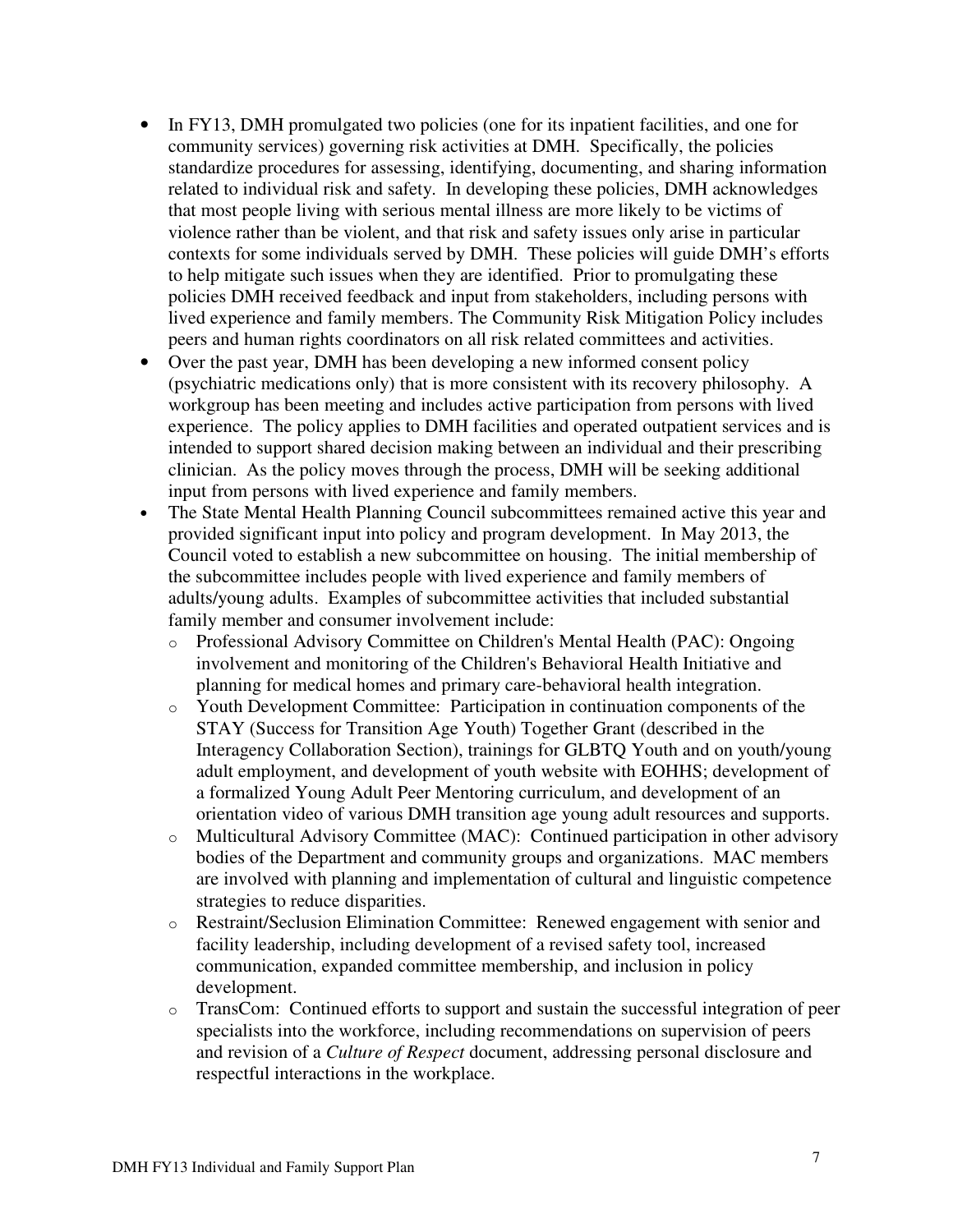- In FY13, DMH promulgated two policies (one for its inpatient facilities, and one for community services) governing risk activities at DMH. Specifically, the policies standardize procedures for assessing, identifying, documenting, and sharing information related to individual risk and safety. In developing these policies, DMH acknowledges that most people living with serious mental illness are more likely to be victims of violence rather than be violent, and that risk and safety issues only arise in particular contexts for some individuals served by DMH. These policies will guide DMH's efforts to help mitigate such issues when they are identified. Prior to promulgating these policies DMH received feedback and input from stakeholders, including persons with lived experience and family members. The Community Risk Mitigation Policy includes peers and human rights coordinators on all risk related committees and activities.
- Over the past year, DMH has been developing a new informed consent policy (psychiatric medications only) that is more consistent with its recovery philosophy. A workgroup has been meeting and includes active participation from persons with lived experience. The policy applies to DMH facilities and operated outpatient services and is intended to support shared decision making between an individual and their prescribing clinician. As the policy moves through the process, DMH will be seeking additional input from persons with lived experience and family members.
- The State Mental Health Planning Council subcommittees remained active this year and provided significant input into policy and program development. In May 2013, the Council voted to establish a new subcommittee on housing. The initial membership of the subcommittee includes people with lived experience and family members of adults/young adults. Examples of subcommittee activities that included substantial family member and consumer involvement include:
	- o Professional Advisory Committee on Children's Mental Health (PAC): Ongoing involvement and monitoring of the Children's Behavioral Health Initiative and planning for medical homes and primary care-behavioral health integration.
	- o Youth Development Committee: Participation in continuation components of the STAY (Success for Transition Age Youth) Together Grant (described in the Interagency Collaboration Section), trainings for GLBTQ Youth and on youth/young adult employment, and development of youth website with EOHHS; development of a formalized Young Adult Peer Mentoring curriculum, and development of an orientation video of various DMH transition age young adult resources and supports.
	- o Multicultural Advisory Committee (MAC): Continued participation in other advisory bodies of the Department and community groups and organizations. MAC members are involved with planning and implementation of cultural and linguistic competence strategies to reduce disparities.
	- o Restraint/Seclusion Elimination Committee: Renewed engagement with senior and facility leadership, including development of a revised safety tool, increased communication, expanded committee membership, and inclusion in policy development.
	- o TransCom: Continued efforts to support and sustain the successful integration of peer specialists into the workforce, including recommendations on supervision of peers and revision of a *Culture of Respect* document, addressing personal disclosure and respectful interactions in the workplace.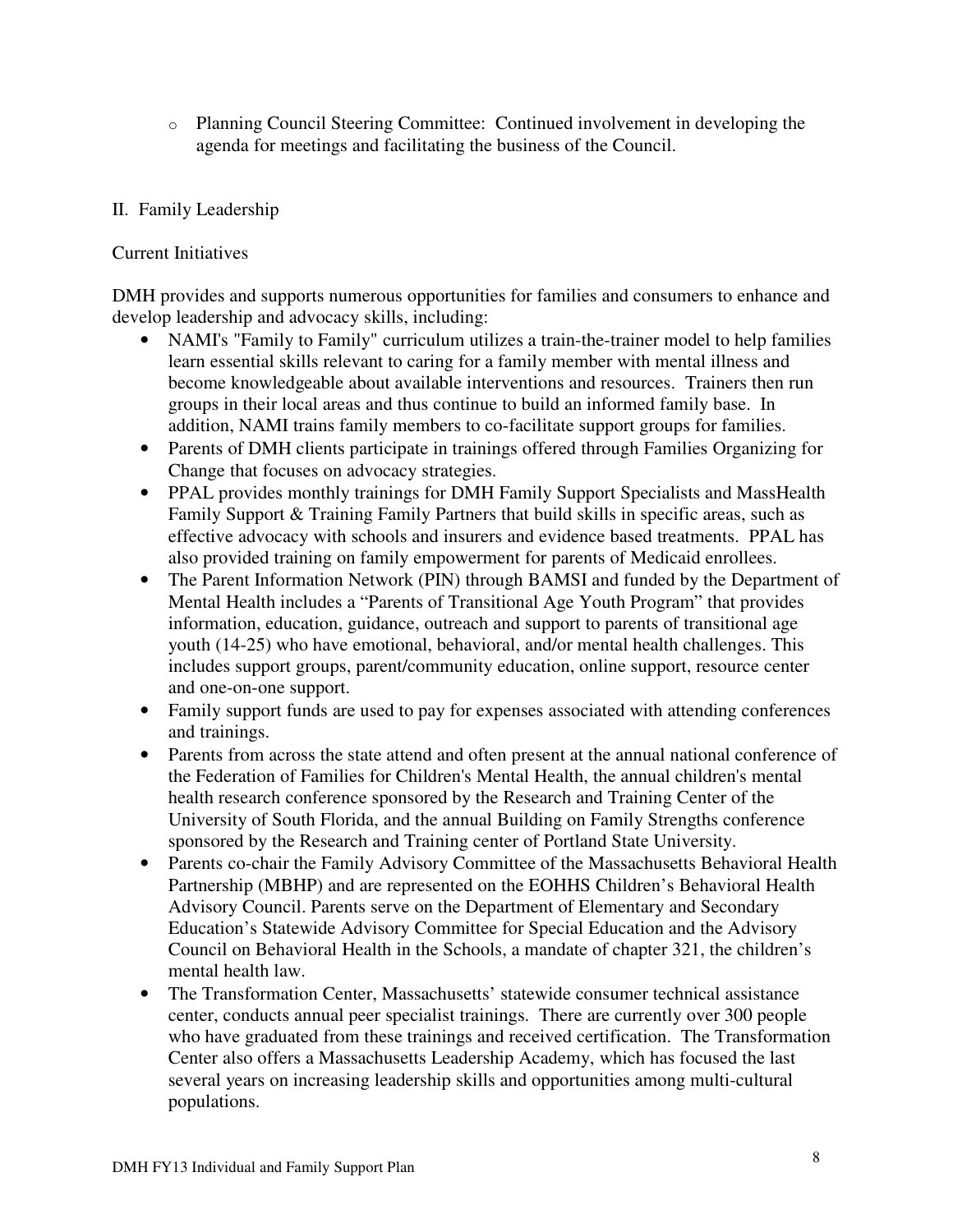o Planning Council Steering Committee: Continued involvement in developing the agenda for meetings and facilitating the business of the Council.

# II. Family Leadership

## Current Initiatives

DMH provides and supports numerous opportunities for families and consumers to enhance and develop leadership and advocacy skills, including:

- NAMI's "Family to Family" curriculum utilizes a train-the-trainer model to help families learn essential skills relevant to caring for a family member with mental illness and become knowledgeable about available interventions and resources. Trainers then run groups in their local areas and thus continue to build an informed family base. In addition, NAMI trains family members to co-facilitate support groups for families.
- Parents of DMH clients participate in trainings offered through Families Organizing for Change that focuses on advocacy strategies.
- PPAL provides monthly trainings for DMH Family Support Specialists and MassHealth Family Support & Training Family Partners that build skills in specific areas, such as effective advocacy with schools and insurers and evidence based treatments. PPAL has also provided training on family empowerment for parents of Medicaid enrollees.
- The Parent Information Network (PIN) through BAMSI and funded by the Department of Mental Health includes a "Parents of Transitional Age Youth Program" that provides information, education, guidance, outreach and support to parents of transitional age youth (14-25) who have emotional, behavioral, and/or mental health challenges. This includes support groups, parent/community education, online support, resource center and one-on-one support.
- Family support funds are used to pay for expenses associated with attending conferences and trainings.
- Parents from across the state attend and often present at the annual national conference of the Federation of Families for Children's Mental Health, the annual children's mental health research conference sponsored by the Research and Training Center of the University of South Florida, and the annual Building on Family Strengths conference sponsored by the Research and Training center of Portland State University.
- Parents co-chair the Family Advisory Committee of the Massachusetts Behavioral Health Partnership (MBHP) and are represented on the EOHHS Children's Behavioral Health Advisory Council. Parents serve on the Department of Elementary and Secondary Education's Statewide Advisory Committee for Special Education and the Advisory Council on Behavioral Health in the Schools, a mandate of chapter 321, the children's mental health law.
- The Transformation Center, Massachusetts' statewide consumer technical assistance center, conducts annual peer specialist trainings. There are currently over 300 people who have graduated from these trainings and received certification. The Transformation Center also offers a Massachusetts Leadership Academy, which has focused the last several years on increasing leadership skills and opportunities among multi-cultural populations.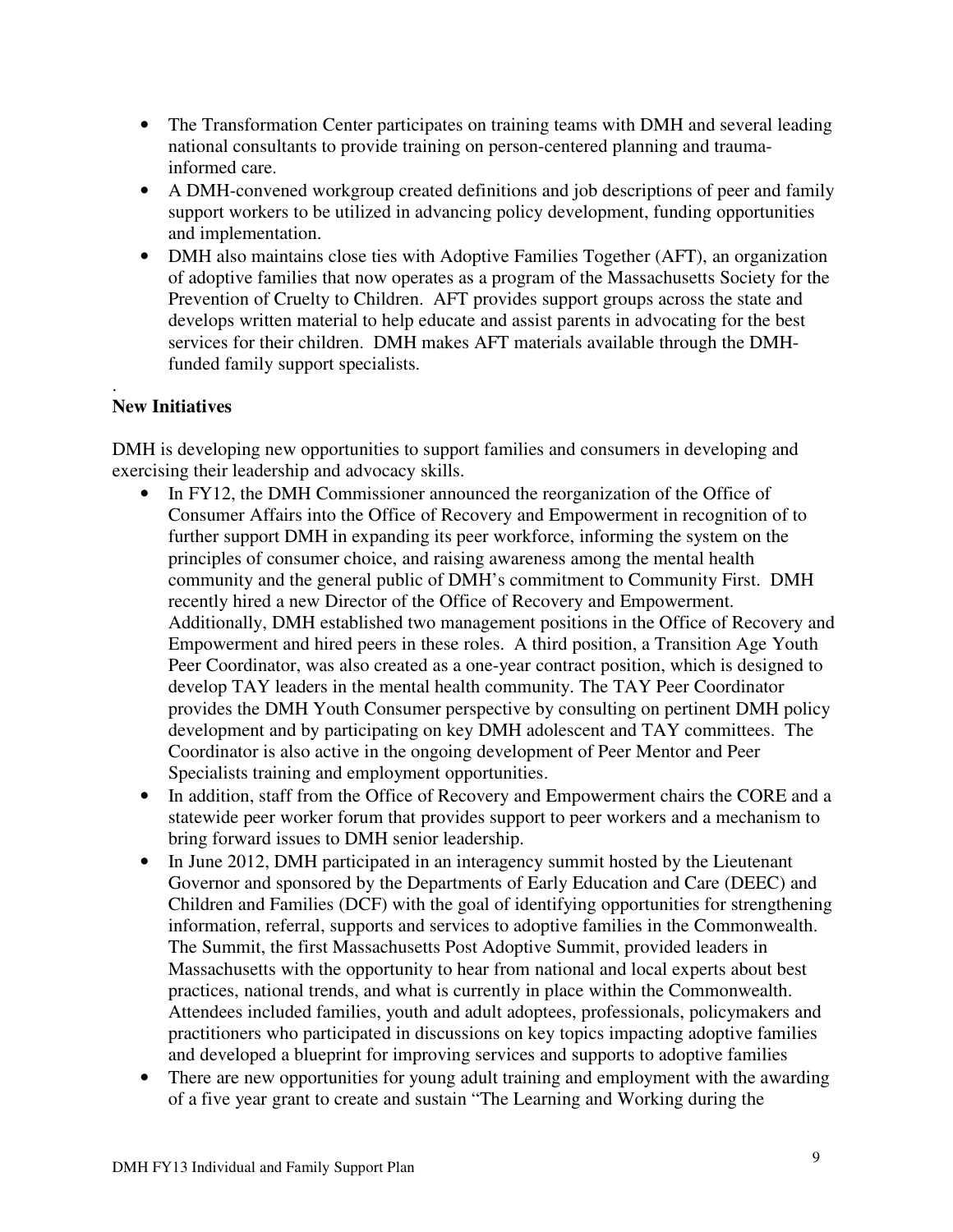- The Transformation Center participates on training teams with DMH and several leading national consultants to provide training on person-centered planning and traumainformed care.
- A DMH-convened workgroup created definitions and job descriptions of peer and family support workers to be utilized in advancing policy development, funding opportunities and implementation.
- DMH also maintains close ties with Adoptive Families Together (AFT), an organization of adoptive families that now operates as a program of the Massachusetts Society for the Prevention of Cruelty to Children. AFT provides support groups across the state and develops written material to help educate and assist parents in advocating for the best services for their children. DMH makes AFT materials available through the DMHfunded family support specialists.

#### . **New Initiatives**

DMH is developing new opportunities to support families and consumers in developing and exercising their leadership and advocacy skills.

- In FY12, the DMH Commissioner announced the reorganization of the Office of Consumer Affairs into the Office of Recovery and Empowerment in recognition of to further support DMH in expanding its peer workforce, informing the system on the principles of consumer choice, and raising awareness among the mental health community and the general public of DMH's commitment to Community First. DMH recently hired a new Director of the Office of Recovery and Empowerment. Additionally, DMH established two management positions in the Office of Recovery and Empowerment and hired peers in these roles. A third position, a Transition Age Youth Peer Coordinator, was also created as a one-year contract position, which is designed to develop TAY leaders in the mental health community. The TAY Peer Coordinator provides the DMH Youth Consumer perspective by consulting on pertinent DMH policy development and by participating on key DMH adolescent and TAY committees. The Coordinator is also active in the ongoing development of Peer Mentor and Peer Specialists training and employment opportunities.
- In addition, staff from the Office of Recovery and Empowerment chairs the CORE and a statewide peer worker forum that provides support to peer workers and a mechanism to bring forward issues to DMH senior leadership.
- In June 2012, DMH participated in an interagency summit hosted by the Lieutenant Governor and sponsored by the Departments of Early Education and Care (DEEC) and Children and Families (DCF) with the goal of identifying opportunities for strengthening information, referral, supports and services to adoptive families in the Commonwealth. The Summit, the first Massachusetts Post Adoptive Summit, provided leaders in Massachusetts with the opportunity to hear from national and local experts about best practices, national trends, and what is currently in place within the Commonwealth. Attendees included families, youth and adult adoptees, professionals, policymakers and practitioners who participated in discussions on key topics impacting adoptive families and developed a blueprint for improving services and supports to adoptive families
- There are new opportunities for young adult training and employment with the awarding of a five year grant to create and sustain "The Learning and Working during the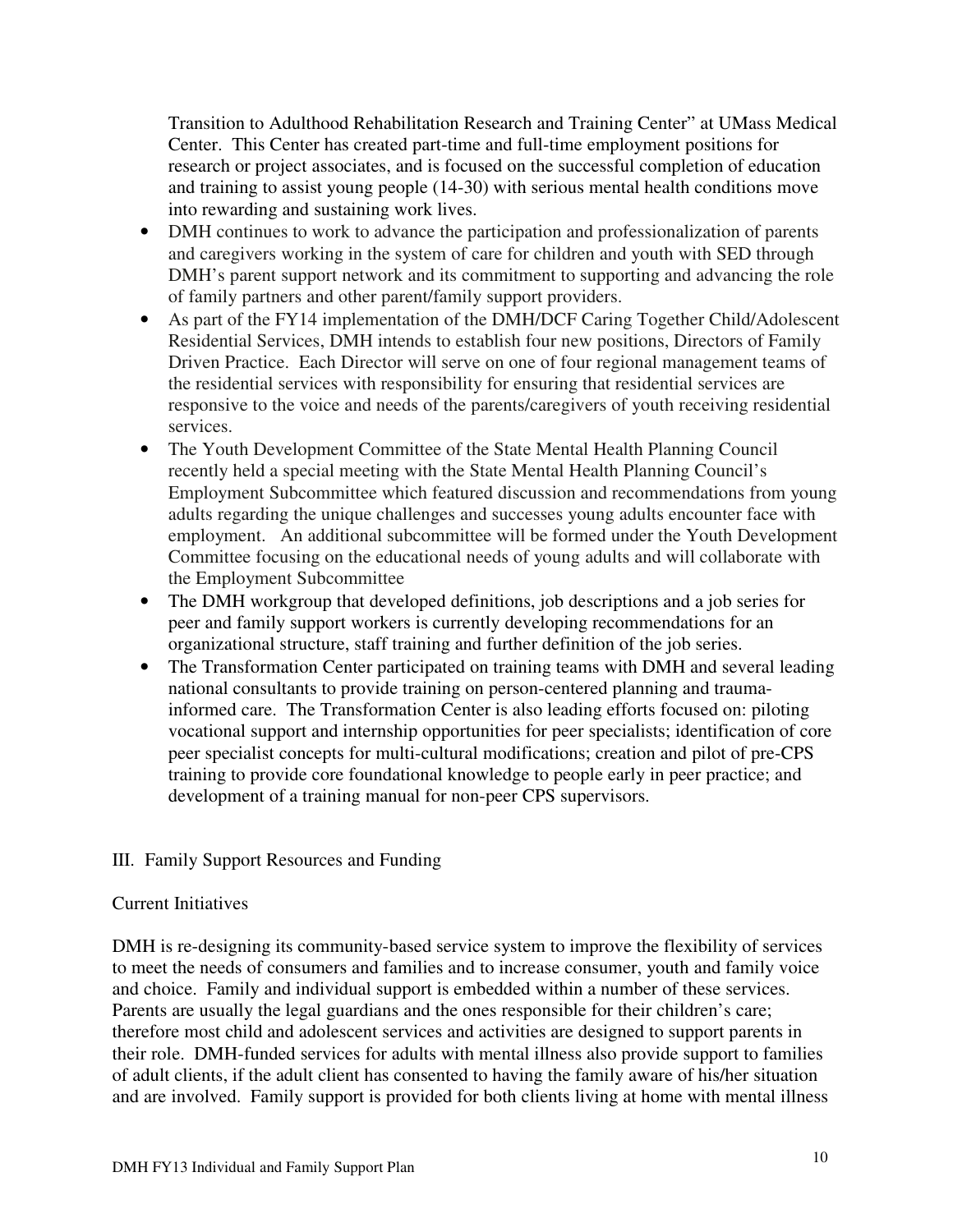Transition to Adulthood Rehabilitation Research and Training Center" at UMass Medical Center. This Center has created part-time and full-time employment positions for research or project associates, and is focused on the successful completion of education and training to assist young people (14-30) with serious mental health conditions move into rewarding and sustaining work lives.

- DMH continues to work to advance the participation and professionalization of parents and caregivers working in the system of care for children and youth with SED through DMH's parent support network and its commitment to supporting and advancing the role of family partners and other parent/family support providers.
- As part of the FY14 implementation of the DMH/DCF Caring Together Child/Adolescent Residential Services, DMH intends to establish four new positions, Directors of Family Driven Practice. Each Director will serve on one of four regional management teams of the residential services with responsibility for ensuring that residential services are responsive to the voice and needs of the parents/caregivers of youth receiving residential services.
- The Youth Development Committee of the State Mental Health Planning Council recently held a special meeting with the State Mental Health Planning Council's Employment Subcommittee which featured discussion and recommendations from young adults regarding the unique challenges and successes young adults encounter face with employment. An additional subcommittee will be formed under the Youth Development Committee focusing on the educational needs of young adults and will collaborate with the Employment Subcommittee
- The DMH workgroup that developed definitions, job descriptions and a job series for peer and family support workers is currently developing recommendations for an organizational structure, staff training and further definition of the job series.
- The Transformation Center participated on training teams with DMH and several leading national consultants to provide training on person-centered planning and traumainformed care. The Transformation Center is also leading efforts focused on: piloting vocational support and internship opportunities for peer specialists; identification of core peer specialist concepts for multi-cultural modifications; creation and pilot of pre-CPS training to provide core foundational knowledge to people early in peer practice; and development of a training manual for non-peer CPS supervisors.

## III. Family Support Resources and Funding

#### Current Initiatives

DMH is re-designing its community-based service system to improve the flexibility of services to meet the needs of consumers and families and to increase consumer, youth and family voice and choice. Family and individual support is embedded within a number of these services. Parents are usually the legal guardians and the ones responsible for their children's care; therefore most child and adolescent services and activities are designed to support parents in their role. DMH-funded services for adults with mental illness also provide support to families of adult clients, if the adult client has consented to having the family aware of his/her situation and are involved. Family support is provided for both clients living at home with mental illness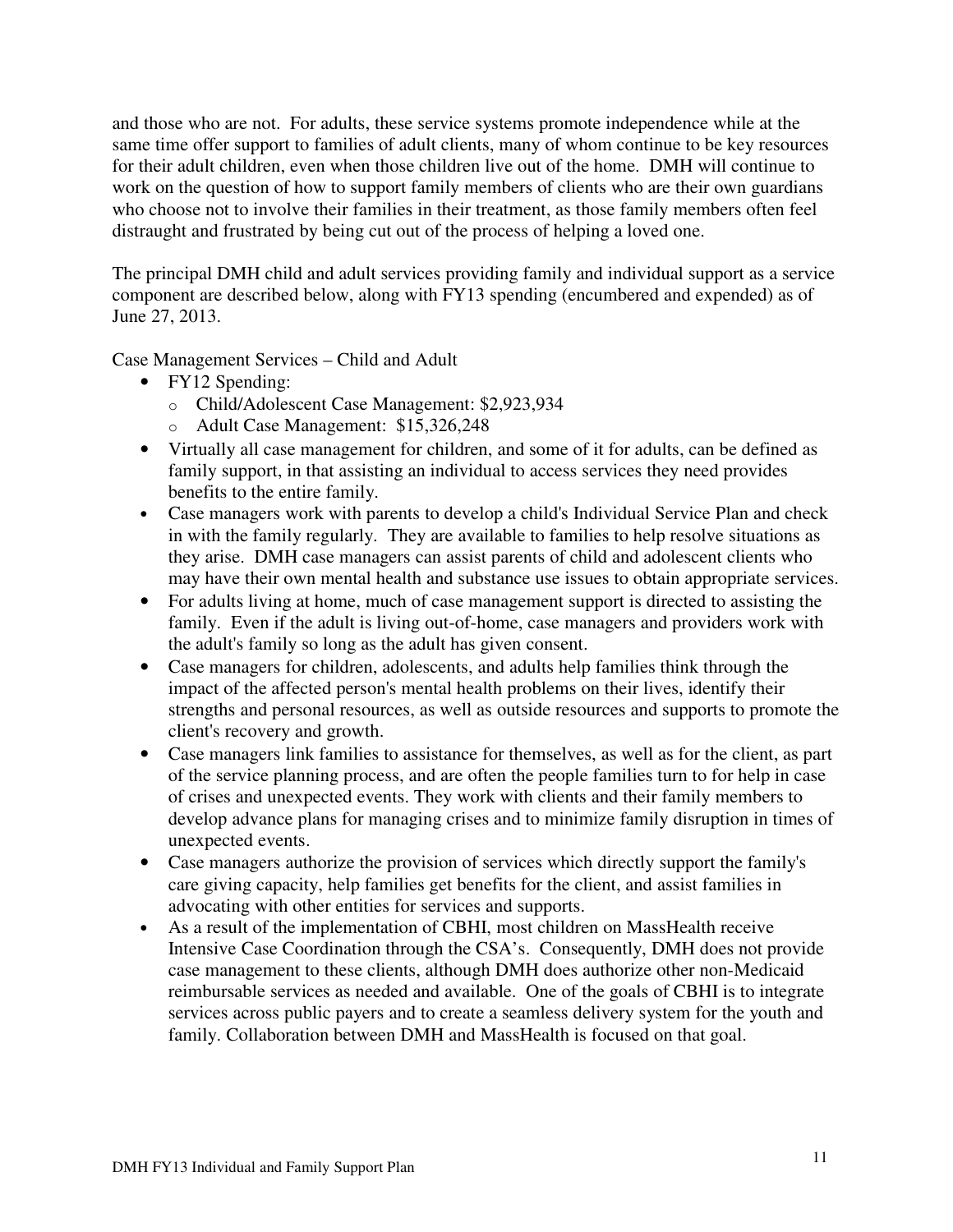and those who are not. For adults, these service systems promote independence while at the same time offer support to families of adult clients, many of whom continue to be key resources for their adult children, even when those children live out of the home. DMH will continue to work on the question of how to support family members of clients who are their own guardians who choose not to involve their families in their treatment, as those family members often feel distraught and frustrated by being cut out of the process of helping a loved one.

The principal DMH child and adult services providing family and individual support as a service component are described below, along with FY13 spending (encumbered and expended) as of June 27, 2013.

Case Management Services – Child and Adult

- FY12 Spending:
	- o Child/Adolescent Case Management: \$2,923,934
	- o Adult Case Management: \$15,326,248
- Virtually all case management for children, and some of it for adults, can be defined as family support, in that assisting an individual to access services they need provides benefits to the entire family.
- Case managers work with parents to develop a child's Individual Service Plan and check in with the family regularly. They are available to families to help resolve situations as they arise. DMH case managers can assist parents of child and adolescent clients who may have their own mental health and substance use issues to obtain appropriate services.
- For adults living at home, much of case management support is directed to assisting the family. Even if the adult is living out-of-home, case managers and providers work with the adult's family so long as the adult has given consent.
- Case managers for children, adolescents, and adults help families think through the impact of the affected person's mental health problems on their lives, identify their strengths and personal resources, as well as outside resources and supports to promote the client's recovery and growth.
- Case managers link families to assistance for themselves, as well as for the client, as part of the service planning process, and are often the people families turn to for help in case of crises and unexpected events. They work with clients and their family members to develop advance plans for managing crises and to minimize family disruption in times of unexpected events.
- Case managers authorize the provision of services which directly support the family's care giving capacity, help families get benefits for the client, and assist families in advocating with other entities for services and supports.
- As a result of the implementation of CBHI, most children on MassHealth receive Intensive Case Coordination through the CSA's. Consequently, DMH does not provide case management to these clients, although DMH does authorize other non-Medicaid reimbursable services as needed and available. One of the goals of CBHI is to integrate services across public payers and to create a seamless delivery system for the youth and family. Collaboration between DMH and MassHealth is focused on that goal.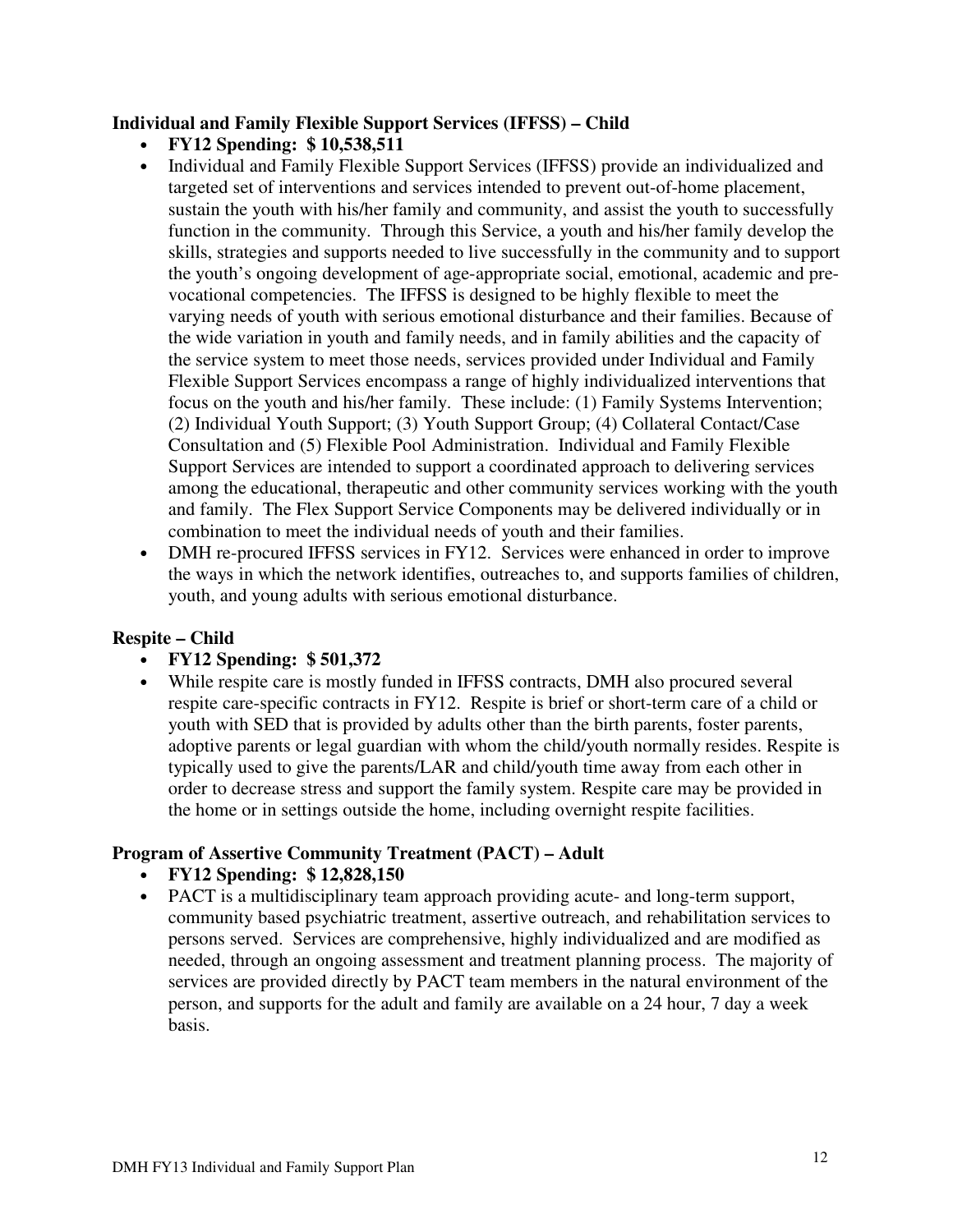### **Individual and Family Flexible Support Services (IFFSS) – Child**

- **FY12 Spending: \$ 10,538,511**
- Individual and Family Flexible Support Services (IFFSS) provide an individualized and targeted set of interventions and services intended to prevent out-of-home placement, sustain the youth with his/her family and community, and assist the youth to successfully function in the community. Through this Service, a youth and his/her family develop the skills, strategies and supports needed to live successfully in the community and to support the youth's ongoing development of age-appropriate social, emotional, academic and prevocational competencies. The IFFSS is designed to be highly flexible to meet the varying needs of youth with serious emotional disturbance and their families. Because of the wide variation in youth and family needs, and in family abilities and the capacity of the service system to meet those needs, services provided under Individual and Family Flexible Support Services encompass a range of highly individualized interventions that focus on the youth and his/her family. These include: (1) Family Systems Intervention; (2) Individual Youth Support; (3) Youth Support Group; (4) Collateral Contact/Case Consultation and (5) Flexible Pool Administration. Individual and Family Flexible Support Services are intended to support a coordinated approach to delivering services among the educational, therapeutic and other community services working with the youth and family. The Flex Support Service Components may be delivered individually or in combination to meet the individual needs of youth and their families.
- DMH re-procured IFFSS services in FY12. Services were enhanced in order to improve the ways in which the network identifies, outreaches to, and supports families of children, youth, and young adults with serious emotional disturbance.

## **Respite – Child**

## • **FY12 Spending: \$ 501,372**

• While respite care is mostly funded in IFFSS contracts, DMH also procured several respite care-specific contracts in FY12. Respite is brief or short-term care of a child or youth with SED that is provided by adults other than the birth parents, foster parents, adoptive parents or legal guardian with whom the child/youth normally resides. Respite is typically used to give the parents/LAR and child/youth time away from each other in order to decrease stress and support the family system. Respite care may be provided in the home or in settings outside the home, including overnight respite facilities.

## **Program of Assertive Community Treatment (PACT) – Adult**

- **FY12 Spending: \$ 12,828,150**
- PACT is a multidisciplinary team approach providing acute- and long-term support, community based psychiatric treatment, assertive outreach, and rehabilitation services to persons served. Services are comprehensive, highly individualized and are modified as needed, through an ongoing assessment and treatment planning process. The majority of services are provided directly by PACT team members in the natural environment of the person, and supports for the adult and family are available on a 24 hour, 7 day a week basis.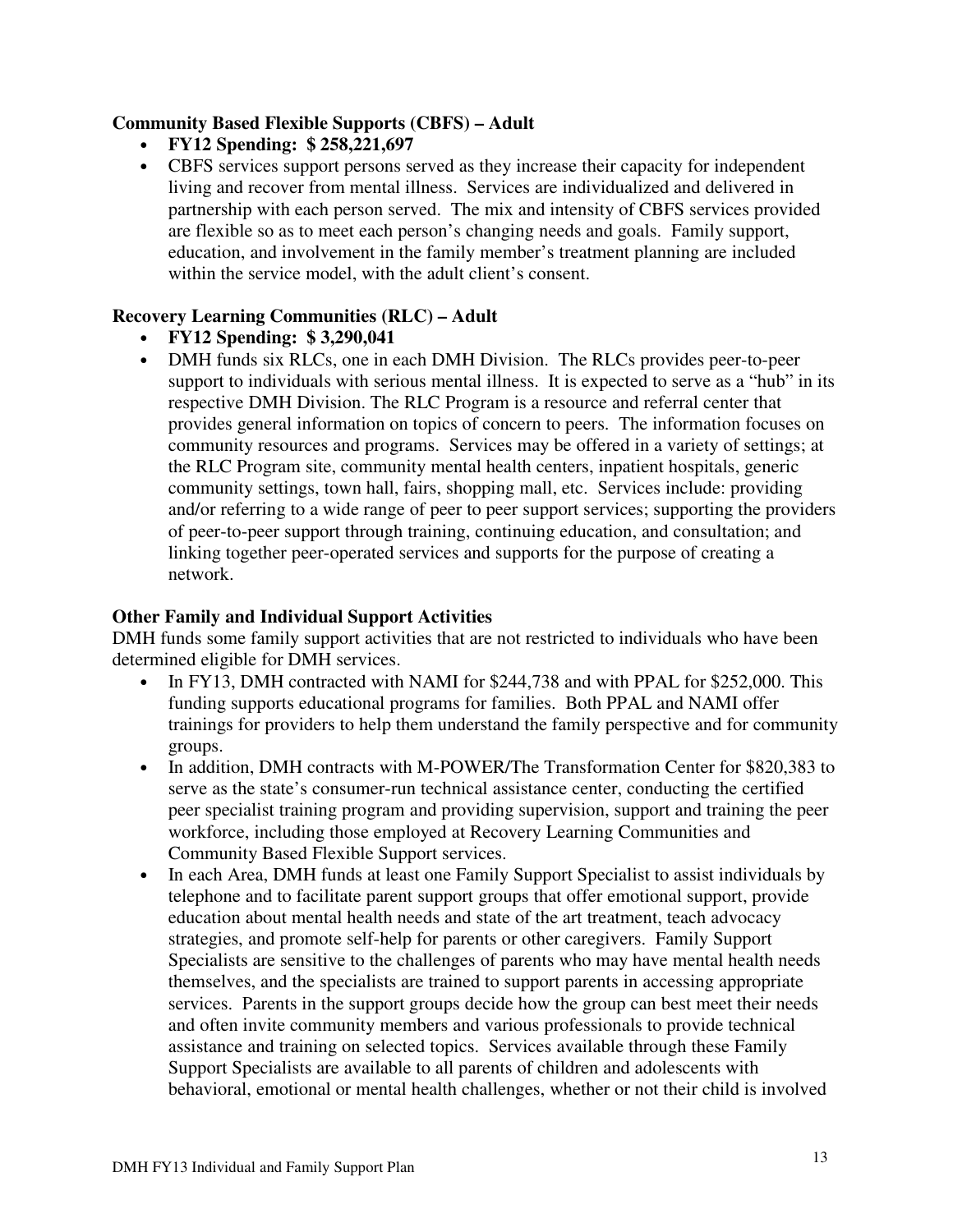### **Community Based Flexible Supports (CBFS) – Adult**

- **FY12 Spending: \$ 258,221,697**
- CBFS services support persons served as they increase their capacity for independent living and recover from mental illness. Services are individualized and delivered in partnership with each person served. The mix and intensity of CBFS services provided are flexible so as to meet each person's changing needs and goals. Family support, education, and involvement in the family member's treatment planning are included within the service model, with the adult client's consent.

### **Recovery Learning Communities (RLC) – Adult**

- **FY12 Spending: \$ 3,290,041**
- DMH funds six RLCs, one in each DMH Division. The RLCs provides peer-to-peer support to individuals with serious mental illness. It is expected to serve as a "hub" in its respective DMH Division. The RLC Program is a resource and referral center that provides general information on topics of concern to peers. The information focuses on community resources and programs. Services may be offered in a variety of settings; at the RLC Program site, community mental health centers, inpatient hospitals, generic community settings, town hall, fairs, shopping mall, etc. Services include: providing and/or referring to a wide range of peer to peer support services; supporting the providers of peer-to-peer support through training, continuing education, and consultation; and linking together peer-operated services and supports for the purpose of creating a network.

#### **Other Family and Individual Support Activities**

DMH funds some family support activities that are not restricted to individuals who have been determined eligible for DMH services.

- In FY13, DMH contracted with NAMI for \$244,738 and with PPAL for \$252,000. This funding supports educational programs for families. Both PPAL and NAMI offer trainings for providers to help them understand the family perspective and for community groups.
- In addition, DMH contracts with M-POWER/The Transformation Center for \$820,383 to serve as the state's consumer-run technical assistance center, conducting the certified peer specialist training program and providing supervision, support and training the peer workforce, including those employed at Recovery Learning Communities and Community Based Flexible Support services.
- In each Area, DMH funds at least one Family Support Specialist to assist individuals by telephone and to facilitate parent support groups that offer emotional support, provide education about mental health needs and state of the art treatment, teach advocacy strategies, and promote self-help for parents or other caregivers. Family Support Specialists are sensitive to the challenges of parents who may have mental health needs themselves, and the specialists are trained to support parents in accessing appropriate services. Parents in the support groups decide how the group can best meet their needs and often invite community members and various professionals to provide technical assistance and training on selected topics. Services available through these Family Support Specialists are available to all parents of children and adolescents with behavioral, emotional or mental health challenges, whether or not their child is involved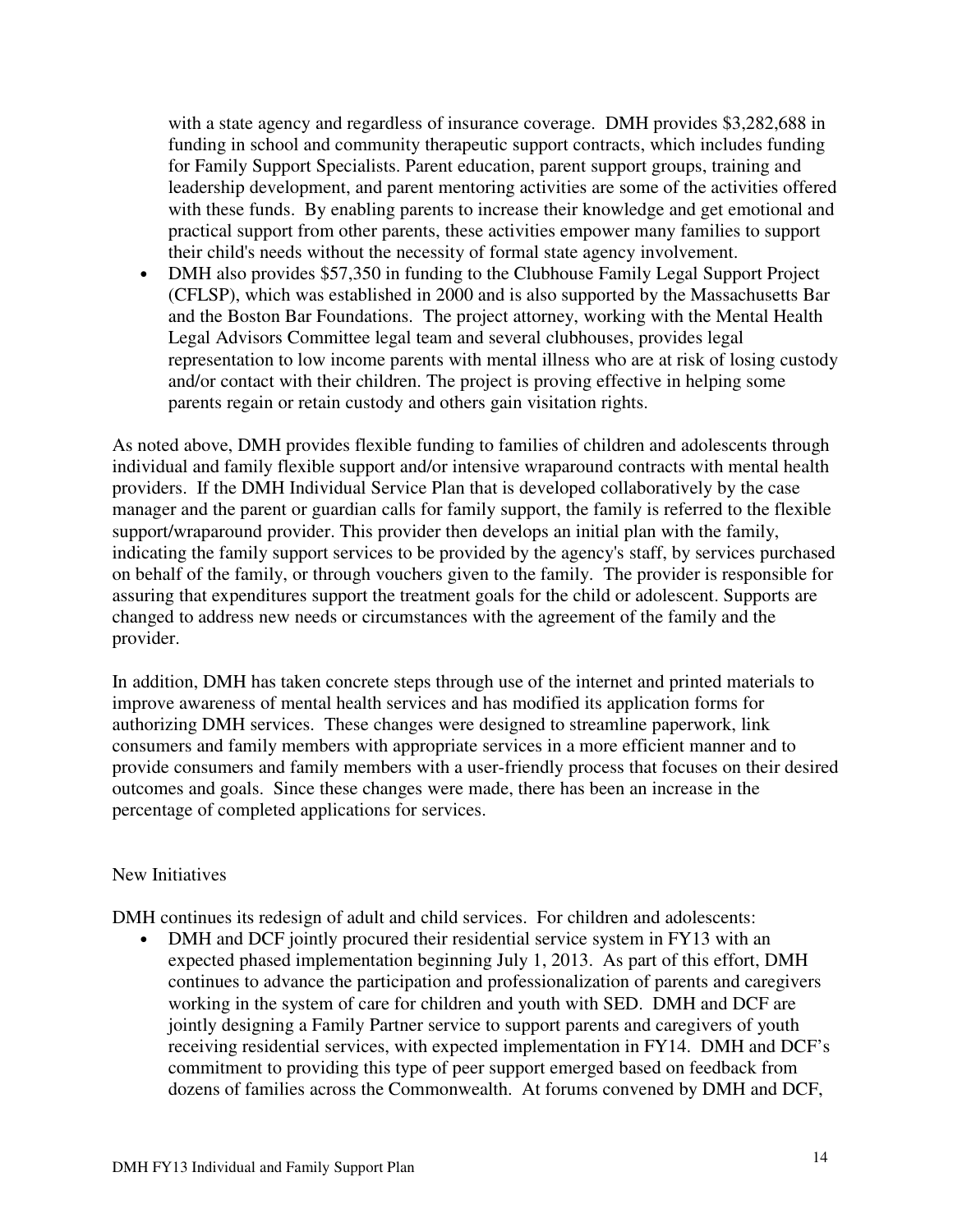with a state agency and regardless of insurance coverage. DMH provides \$3,282,688 in funding in school and community therapeutic support contracts, which includes funding for Family Support Specialists. Parent education, parent support groups, training and leadership development, and parent mentoring activities are some of the activities offered with these funds. By enabling parents to increase their knowledge and get emotional and practical support from other parents, these activities empower many families to support their child's needs without the necessity of formal state agency involvement.

• DMH also provides \$57,350 in funding to the Clubhouse Family Legal Support Project (CFLSP), which was established in 2000 and is also supported by the Massachusetts Bar and the Boston Bar Foundations. The project attorney, working with the Mental Health Legal Advisors Committee legal team and several clubhouses, provides legal representation to low income parents with mental illness who are at risk of losing custody and/or contact with their children. The project is proving effective in helping some parents regain or retain custody and others gain visitation rights.

As noted above, DMH provides flexible funding to families of children and adolescents through individual and family flexible support and/or intensive wraparound contracts with mental health providers. If the DMH Individual Service Plan that is developed collaboratively by the case manager and the parent or guardian calls for family support, the family is referred to the flexible support/wraparound provider. This provider then develops an initial plan with the family, indicating the family support services to be provided by the agency's staff, by services purchased on behalf of the family, or through vouchers given to the family. The provider is responsible for assuring that expenditures support the treatment goals for the child or adolescent. Supports are changed to address new needs or circumstances with the agreement of the family and the provider.

In addition, DMH has taken concrete steps through use of the internet and printed materials to improve awareness of mental health services and has modified its application forms for authorizing DMH services. These changes were designed to streamline paperwork, link consumers and family members with appropriate services in a more efficient manner and to provide consumers and family members with a user-friendly process that focuses on their desired outcomes and goals. Since these changes were made, there has been an increase in the percentage of completed applications for services.

#### New Initiatives

DMH continues its redesign of adult and child services. For children and adolescents:

• DMH and DCF jointly procured their residential service system in FY13 with an expected phased implementation beginning July 1, 2013. As part of this effort, DMH continues to advance the participation and professionalization of parents and caregivers working in the system of care for children and youth with SED. DMH and DCF are jointly designing a Family Partner service to support parents and caregivers of youth receiving residential services, with expected implementation in FY14. DMH and DCF's commitment to providing this type of peer support emerged based on feedback from dozens of families across the Commonwealth. At forums convened by DMH and DCF,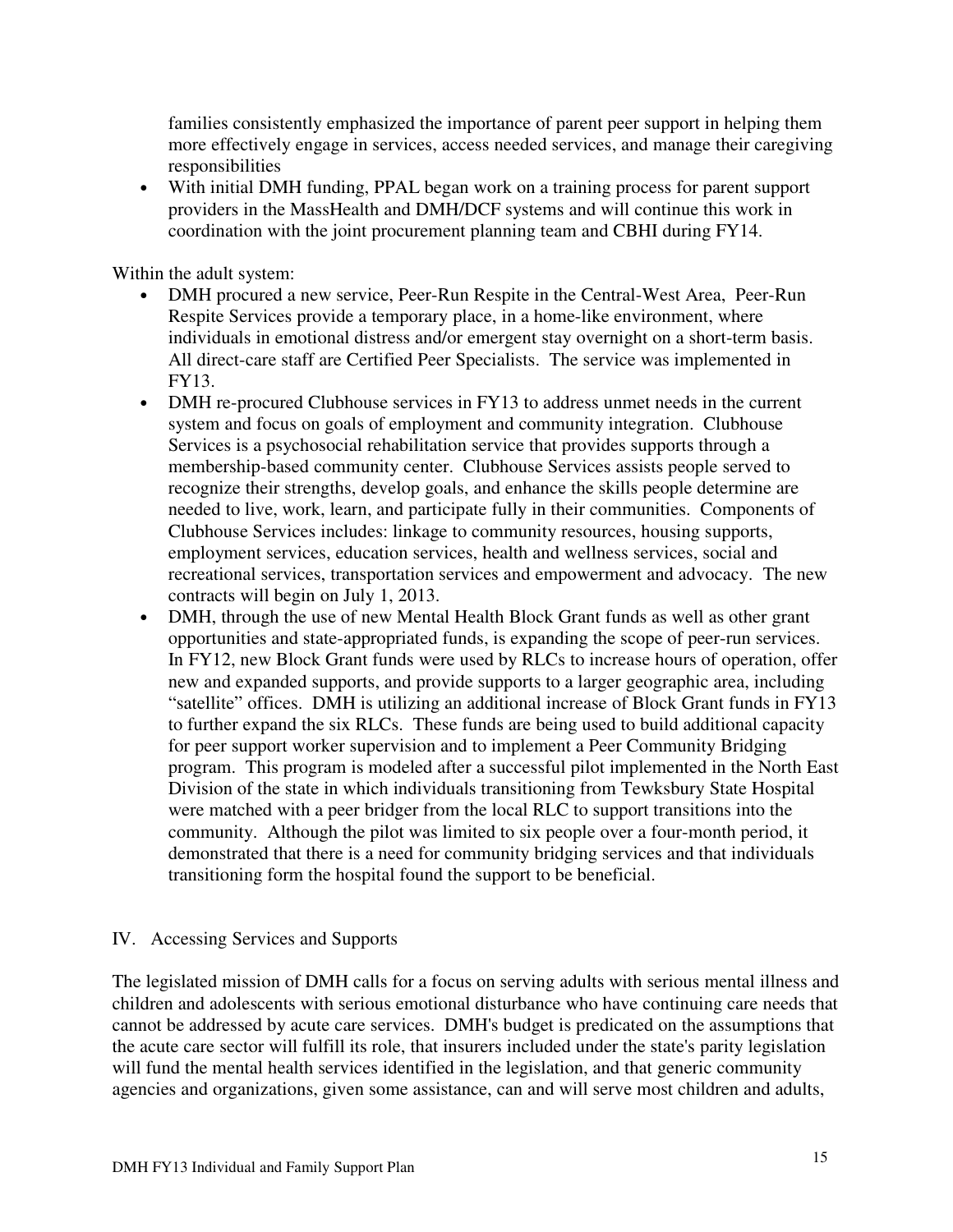families consistently emphasized the importance of parent peer support in helping them more effectively engage in services, access needed services, and manage their caregiving responsibilities

• With initial DMH funding, PPAL began work on a training process for parent support providers in the MassHealth and DMH/DCF systems and will continue this work in coordination with the joint procurement planning team and CBHI during FY14.

Within the adult system:

- DMH procured a new service, Peer-Run Respite in the Central-West Area, Peer-Run Respite Services provide a temporary place, in a home-like environment, where individuals in emotional distress and/or emergent stay overnight on a short-term basis. All direct-care staff are Certified Peer Specialists. The service was implemented in FY13.
- DMH re-procured Clubhouse services in FY13 to address unmet needs in the current system and focus on goals of employment and community integration. Clubhouse Services is a psychosocial rehabilitation service that provides supports through a membership-based community center. Clubhouse Services assists people served to recognize their strengths, develop goals, and enhance the skills people determine are needed to live, work, learn, and participate fully in their communities. Components of Clubhouse Services includes: linkage to community resources, housing supports, employment services, education services, health and wellness services, social and recreational services, transportation services and empowerment and advocacy. The new contracts will begin on July 1, 2013.
- DMH, through the use of new Mental Health Block Grant funds as well as other grant opportunities and state-appropriated funds, is expanding the scope of peer-run services. In FY12, new Block Grant funds were used by RLCs to increase hours of operation, offer new and expanded supports, and provide supports to a larger geographic area, including "satellite" offices. DMH is utilizing an additional increase of Block Grant funds in FY13 to further expand the six RLCs. These funds are being used to build additional capacity for peer support worker supervision and to implement a Peer Community Bridging program. This program is modeled after a successful pilot implemented in the North East Division of the state in which individuals transitioning from Tewksbury State Hospital were matched with a peer bridger from the local RLC to support transitions into the community. Although the pilot was limited to six people over a four-month period, it demonstrated that there is a need for community bridging services and that individuals transitioning form the hospital found the support to be beneficial.

## IV. Accessing Services and Supports

The legislated mission of DMH calls for a focus on serving adults with serious mental illness and children and adolescents with serious emotional disturbance who have continuing care needs that cannot be addressed by acute care services. DMH's budget is predicated on the assumptions that the acute care sector will fulfill its role, that insurers included under the state's parity legislation will fund the mental health services identified in the legislation, and that generic community agencies and organizations, given some assistance, can and will serve most children and adults,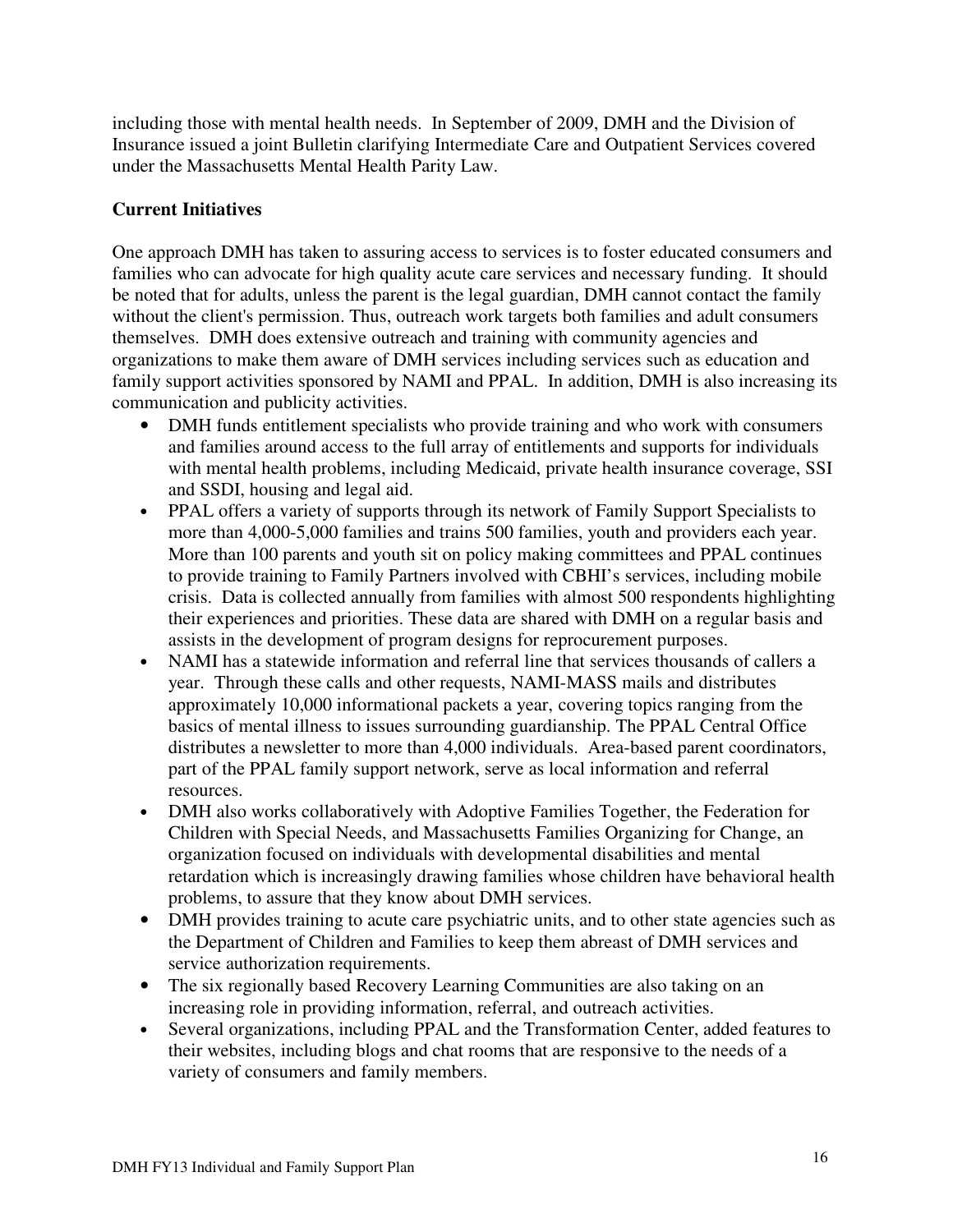including those with mental health needs. In September of 2009, DMH and the Division of Insurance issued a joint Bulletin clarifying Intermediate Care and Outpatient Services covered under the Massachusetts Mental Health Parity Law.

## **Current Initiatives**

One approach DMH has taken to assuring access to services is to foster educated consumers and families who can advocate for high quality acute care services and necessary funding. It should be noted that for adults, unless the parent is the legal guardian, DMH cannot contact the family without the client's permission. Thus, outreach work targets both families and adult consumers themselves. DMH does extensive outreach and training with community agencies and organizations to make them aware of DMH services including services such as education and family support activities sponsored by NAMI and PPAL. In addition, DMH is also increasing its communication and publicity activities.

- DMH funds entitlement specialists who provide training and who work with consumers and families around access to the full array of entitlements and supports for individuals with mental health problems, including Medicaid, private health insurance coverage, SSI and SSDI, housing and legal aid.
- PPAL offers a variety of supports through its network of Family Support Specialists to more than 4,000-5,000 families and trains 500 families, youth and providers each year. More than 100 parents and youth sit on policy making committees and PPAL continues to provide training to Family Partners involved with CBHI's services, including mobile crisis. Data is collected annually from families with almost 500 respondents highlighting their experiences and priorities. These data are shared with DMH on a regular basis and assists in the development of program designs for reprocurement purposes.
- NAMI has a statewide information and referral line that services thousands of callers a year. Through these calls and other requests, NAMI-MASS mails and distributes approximately 10,000 informational packets a year, covering topics ranging from the basics of mental illness to issues surrounding guardianship. The PPAL Central Office distributes a newsletter to more than 4,000 individuals. Area-based parent coordinators, part of the PPAL family support network, serve as local information and referral resources.
- DMH also works collaboratively with Adoptive Families Together, the Federation for Children with Special Needs, and Massachusetts Families Organizing for Change, an organization focused on individuals with developmental disabilities and mental retardation which is increasingly drawing families whose children have behavioral health problems, to assure that they know about DMH services.
- DMH provides training to acute care psychiatric units, and to other state agencies such as the Department of Children and Families to keep them abreast of DMH services and service authorization requirements.
- The six regionally based Recovery Learning Communities are also taking on an increasing role in providing information, referral, and outreach activities.
- Several organizations, including PPAL and the Transformation Center, added features to their websites, including blogs and chat rooms that are responsive to the needs of a variety of consumers and family members.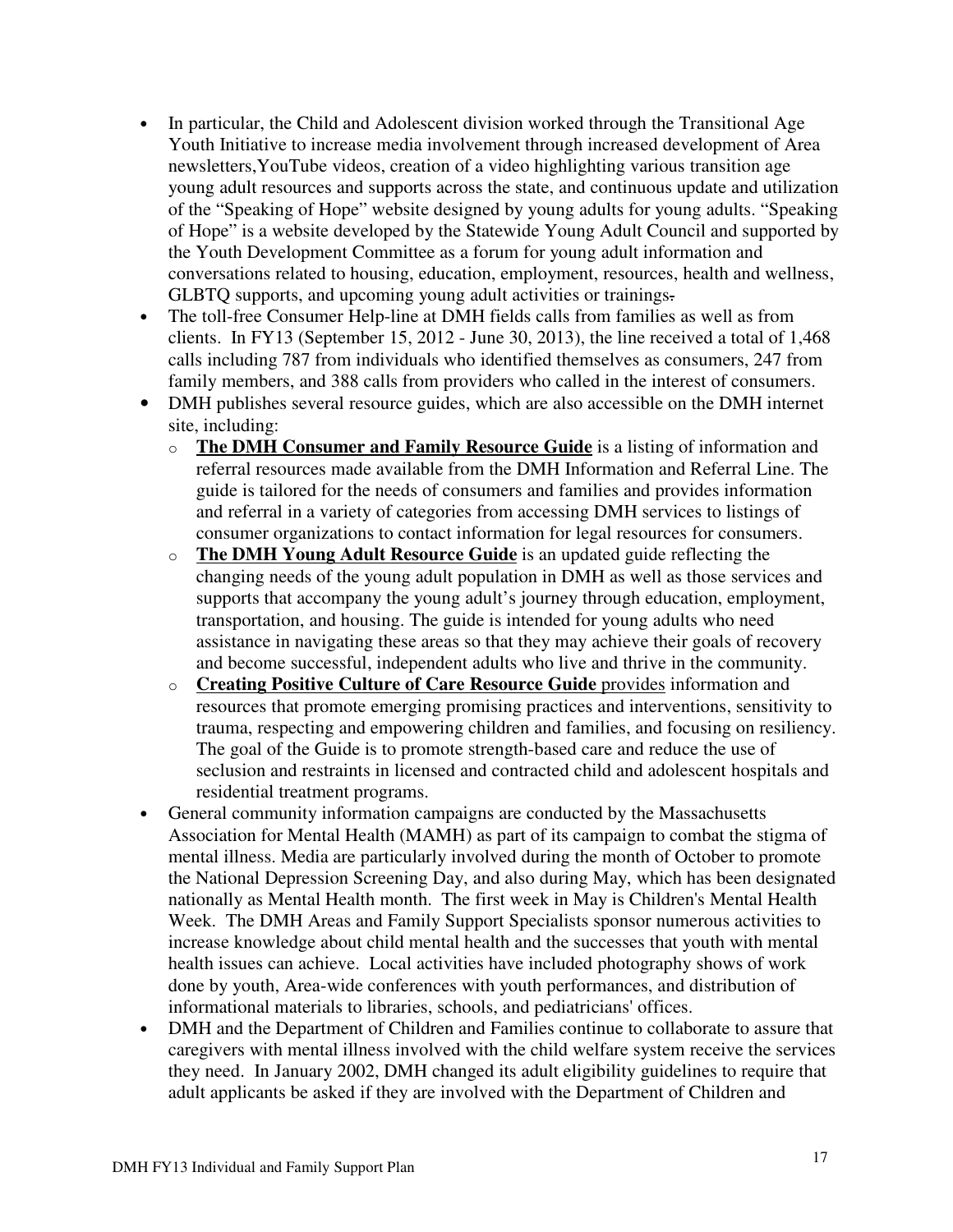- In particular, the Child and Adolescent division worked through the Transitional Age Youth Initiative to increase media involvement through increased development of Area newsletters,YouTube videos, creation of a video highlighting various transition age young adult resources and supports across the state, and continuous update and utilization of the "Speaking of Hope" website designed by young adults for young adults. "Speaking of Hope" is a website developed by the Statewide Young Adult Council and supported by the Youth Development Committee as a forum for young adult information and conversations related to housing, education, employment, resources, health and wellness, GLBTQ supports, and upcoming young adult activities or trainings.
- The toll-free Consumer Help-line at DMH fields calls from families as well as from clients. In FY13 (September 15, 2012 - June 30, 2013), the line received a total of 1,468 calls including 787 from individuals who identified themselves as consumers, 247 from family members, and 388 calls from providers who called in the interest of consumers.
- DMH publishes several resource guides, which are also accessible on the DMH internet site, including:
	- o **The DMH Consumer and Family Resource Guide** is a listing of information and referral resources made available from the DMH Information and Referral Line. The guide is tailored for the needs of consumers and families and provides information and referral in a variety of categories from accessing DMH services to listings of consumer organizations to contact information for legal resources for consumers.
	- o **The DMH Young Adult Resource Guide** is an updated guide reflecting the changing needs of the young adult population in DMH as well as those services and supports that accompany the young adult's journey through education, employment, transportation, and housing. The guide is intended for young adults who need assistance in navigating these areas so that they may achieve their goals of recovery and become successful, independent adults who live and thrive in the community.
	- o **Creating Positive Culture of Care Resource Guide** provides information and resources that promote emerging promising practices and interventions, sensitivity to trauma, respecting and empowering children and families, and focusing on resiliency. The goal of the Guide is to promote strength-based care and reduce the use of seclusion and restraints in licensed and contracted child and adolescent hospitals and residential treatment programs.
- General community information campaigns are conducted by the Massachusetts Association for Mental Health (MAMH) as part of its campaign to combat the stigma of mental illness. Media are particularly involved during the month of October to promote the National Depression Screening Day, and also during May, which has been designated nationally as Mental Health month. The first week in May is Children's Mental Health Week. The DMH Areas and Family Support Specialists sponsor numerous activities to increase knowledge about child mental health and the successes that youth with mental health issues can achieve. Local activities have included photography shows of work done by youth, Area-wide conferences with youth performances, and distribution of informational materials to libraries, schools, and pediatricians' offices.
- DMH and the Department of Children and Families continue to collaborate to assure that caregivers with mental illness involved with the child welfare system receive the services they need. In January 2002, DMH changed its adult eligibility guidelines to require that adult applicants be asked if they are involved with the Department of Children and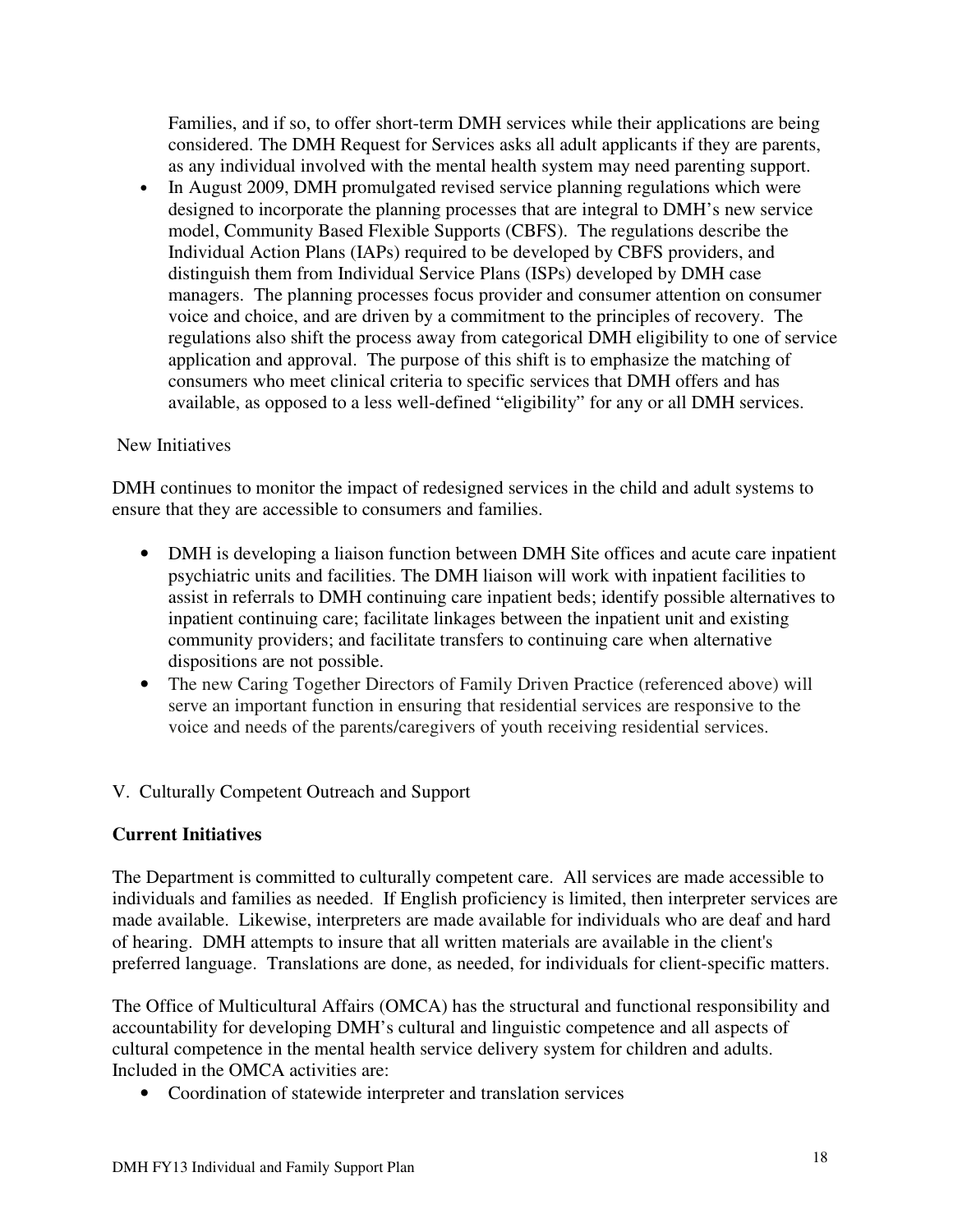Families, and if so, to offer short-term DMH services while their applications are being considered. The DMH Request for Services asks all adult applicants if they are parents, as any individual involved with the mental health system may need parenting support.

• In August 2009, DMH promulgated revised service planning regulations which were designed to incorporate the planning processes that are integral to DMH's new service model, Community Based Flexible Supports (CBFS). The regulations describe the Individual Action Plans (IAPs) required to be developed by CBFS providers, and distinguish them from Individual Service Plans (ISPs) developed by DMH case managers. The planning processes focus provider and consumer attention on consumer voice and choice, and are driven by a commitment to the principles of recovery. The regulations also shift the process away from categorical DMH eligibility to one of service application and approval. The purpose of this shift is to emphasize the matching of consumers who meet clinical criteria to specific services that DMH offers and has available, as opposed to a less well-defined "eligibility" for any or all DMH services.

## New Initiatives

DMH continues to monitor the impact of redesigned services in the child and adult systems to ensure that they are accessible to consumers and families.

- DMH is developing a liaison function between DMH Site offices and acute care inpatient psychiatric units and facilities. The DMH liaison will work with inpatient facilities to assist in referrals to DMH continuing care inpatient beds; identify possible alternatives to inpatient continuing care; facilitate linkages between the inpatient unit and existing community providers; and facilitate transfers to continuing care when alternative dispositions are not possible.
- The new Caring Together Directors of Family Driven Practice (referenced above) will serve an important function in ensuring that residential services are responsive to the voice and needs of the parents/caregivers of youth receiving residential services.

## V. Culturally Competent Outreach and Support

#### **Current Initiatives**

The Department is committed to culturally competent care. All services are made accessible to individuals and families as needed. If English proficiency is limited, then interpreter services are made available. Likewise, interpreters are made available for individuals who are deaf and hard of hearing. DMH attempts to insure that all written materials are available in the client's preferred language. Translations are done, as needed, for individuals for client-specific matters.

The Office of Multicultural Affairs (OMCA) has the structural and functional responsibility and accountability for developing DMH's cultural and linguistic competence and all aspects of cultural competence in the mental health service delivery system for children and adults. Included in the OMCA activities are:

• Coordination of statewide interpreter and translation services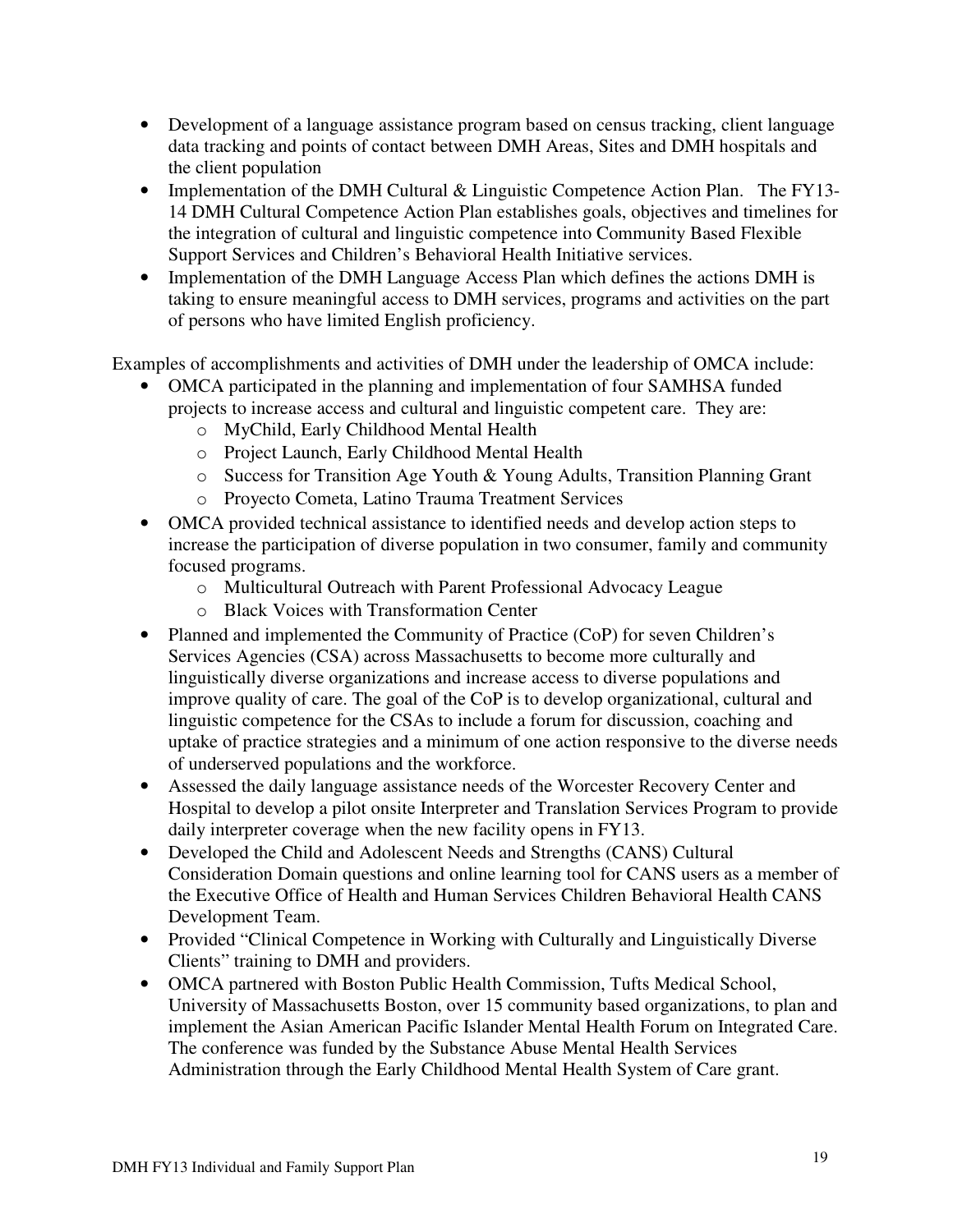- Development of a language assistance program based on census tracking, client language data tracking and points of contact between DMH Areas, Sites and DMH hospitals and the client population
- Implementation of the DMH Cultural & Linguistic Competence Action Plan. The FY13-14 DMH Cultural Competence Action Plan establishes goals, objectives and timelines for the integration of cultural and linguistic competence into Community Based Flexible Support Services and Children's Behavioral Health Initiative services.
- Implementation of the DMH Language Access Plan which defines the actions DMH is taking to ensure meaningful access to DMH services, programs and activities on the part of persons who have limited English proficiency.

Examples of accomplishments and activities of DMH under the leadership of OMCA include:

- OMCA participated in the planning and implementation of four SAMHSA funded projects to increase access and cultural and linguistic competent care. They are:
	- o MyChild, Early Childhood Mental Health
	- o Project Launch, Early Childhood Mental Health
	- o Success for Transition Age Youth & Young Adults, Transition Planning Grant
	- o Proyecto Cometa, Latino Trauma Treatment Services
- OMCA provided technical assistance to identified needs and develop action steps to increase the participation of diverse population in two consumer, family and community focused programs.
	- o Multicultural Outreach with Parent Professional Advocacy League
	- o Black Voices with Transformation Center
- Planned and implemented the Community of Practice (CoP) for seven Children's Services Agencies (CSA) across Massachusetts to become more culturally and linguistically diverse organizations and increase access to diverse populations and improve quality of care. The goal of the CoP is to develop organizational, cultural and linguistic competence for the CSAs to include a forum for discussion, coaching and uptake of practice strategies and a minimum of one action responsive to the diverse needs of underserved populations and the workforce.
- Assessed the daily language assistance needs of the Worcester Recovery Center and Hospital to develop a pilot onsite Interpreter and Translation Services Program to provide daily interpreter coverage when the new facility opens in FY13.
- Developed the Child and Adolescent Needs and Strengths (CANS) Cultural Consideration Domain questions and online learning tool for CANS users as a member of the Executive Office of Health and Human Services Children Behavioral Health CANS Development Team.
- Provided "Clinical Competence in Working with Culturally and Linguistically Diverse Clients" training to DMH and providers.
- OMCA partnered with Boston Public Health Commission, Tufts Medical School, University of Massachusetts Boston, over 15 community based organizations, to plan and implement the Asian American Pacific Islander Mental Health Forum on Integrated Care. The conference was funded by the Substance Abuse Mental Health Services Administration through the Early Childhood Mental Health System of Care grant.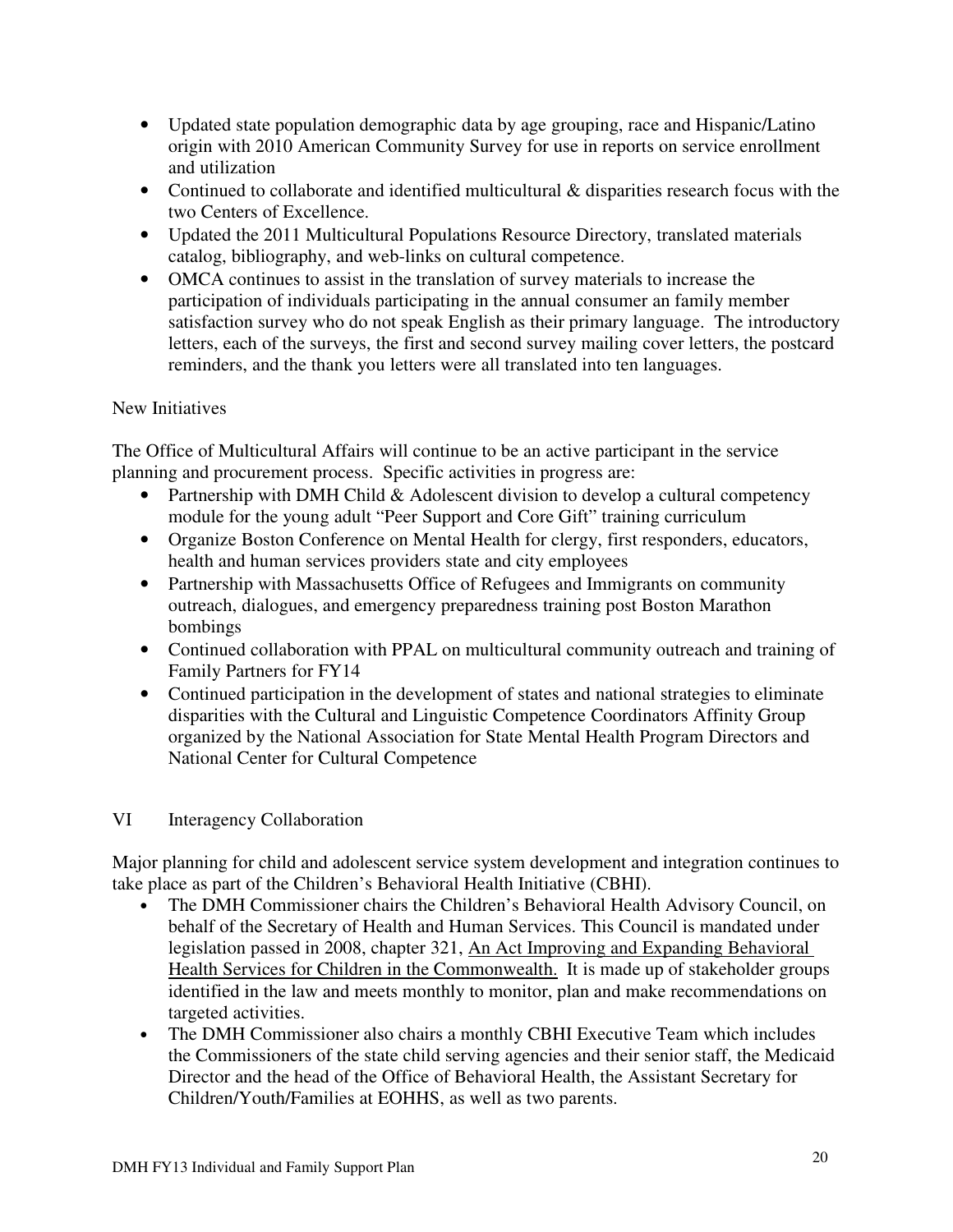- Updated state population demographic data by age grouping, race and Hispanic/Latino origin with 2010 American Community Survey for use in reports on service enrollment and utilization
- Continued to collaborate and identified multicultural & disparities research focus with the two Centers of Excellence.
- Updated the 2011 Multicultural Populations Resource Directory, translated materials catalog, bibliography, and web-links on cultural competence.
- OMCA continues to assist in the translation of survey materials to increase the participation of individuals participating in the annual consumer an family member satisfaction survey who do not speak English as their primary language. The introductory letters, each of the surveys, the first and second survey mailing cover letters, the postcard reminders, and the thank you letters were all translated into ten languages.

# New Initiatives

The Office of Multicultural Affairs will continue to be an active participant in the service planning and procurement process. Specific activities in progress are:

- Partnership with DMH Child & Adolescent division to develop a cultural competency module for the young adult "Peer Support and Core Gift" training curriculum
- Organize Boston Conference on Mental Health for clergy, first responders, educators, health and human services providers state and city employees
- Partnership with Massachusetts Office of Refugees and Immigrants on community outreach, dialogues, and emergency preparedness training post Boston Marathon bombings
- Continued collaboration with PPAL on multicultural community outreach and training of Family Partners for FY14
- Continued participation in the development of states and national strategies to eliminate disparities with the Cultural and Linguistic Competence Coordinators Affinity Group organized by the National Association for State Mental Health Program Directors and National Center for Cultural Competence

## VI Interagency Collaboration

Major planning for child and adolescent service system development and integration continues to take place as part of the Children's Behavioral Health Initiative (CBHI).

- The DMH Commissioner chairs the Children's Behavioral Health Advisory Council, on behalf of the Secretary of Health and Human Services. This Council is mandated under legislation passed in 2008, chapter 321, An Act Improving and Expanding Behavioral Health Services for Children in the Commonwealth. It is made up of stakeholder groups identified in the law and meets monthly to monitor, plan and make recommendations on targeted activities.
- The DMH Commissioner also chairs a monthly CBHI Executive Team which includes the Commissioners of the state child serving agencies and their senior staff, the Medicaid Director and the head of the Office of Behavioral Health, the Assistant Secretary for Children/Youth/Families at EOHHS, as well as two parents.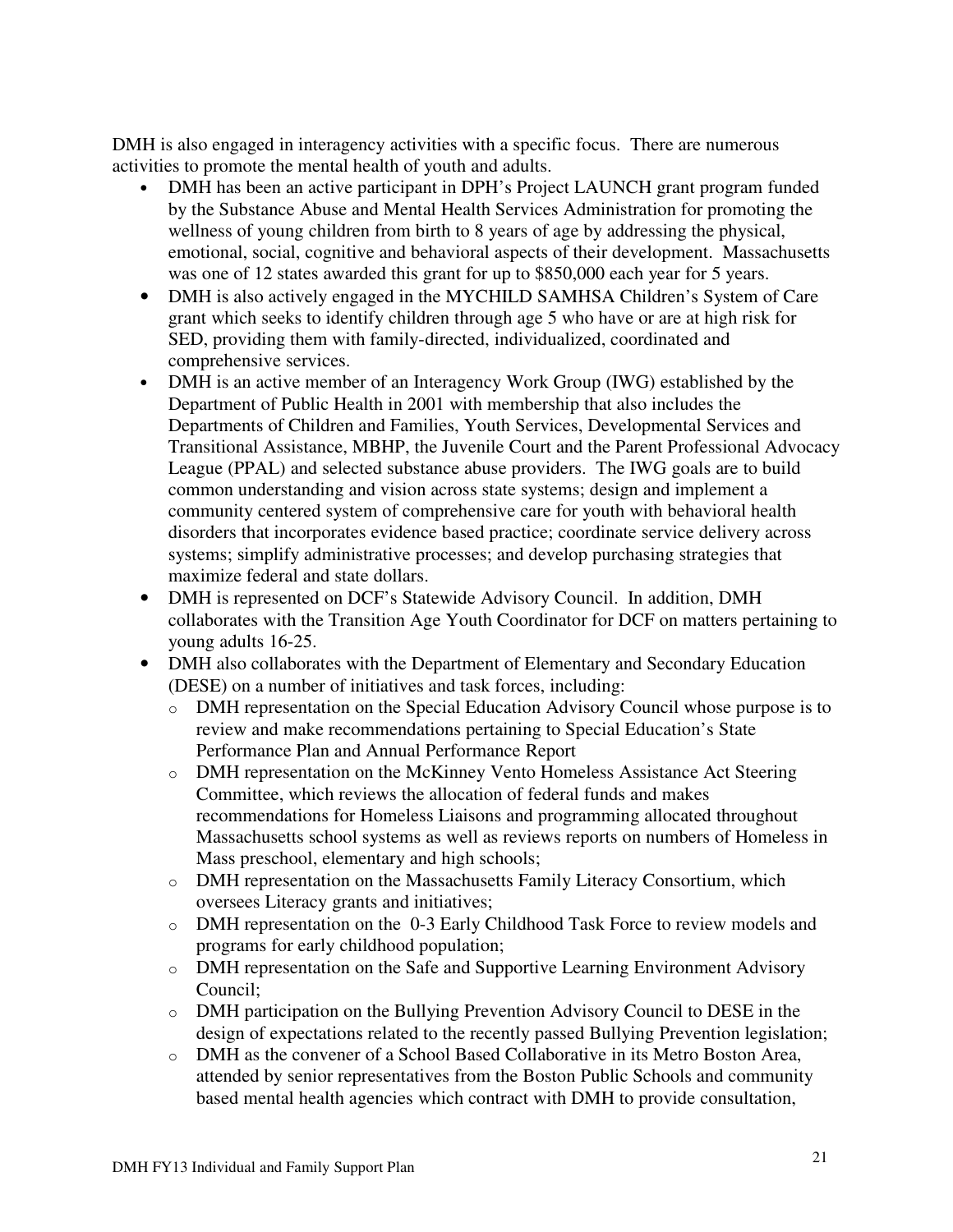DMH is also engaged in interagency activities with a specific focus. There are numerous activities to promote the mental health of youth and adults.

- DMH has been an active participant in DPH's Project LAUNCH grant program funded by the Substance Abuse and Mental Health Services Administration for promoting the wellness of young children from birth to 8 years of age by addressing the physical, emotional, social, cognitive and behavioral aspects of their development. Massachusetts was one of 12 states awarded this grant for up to \$850,000 each year for 5 years.
- DMH is also actively engaged in the MYCHILD SAMHSA Children's System of Care grant which seeks to identify children through age 5 who have or are at high risk for SED, providing them with family-directed, individualized, coordinated and comprehensive services.
- DMH is an active member of an Interagency Work Group (IWG) established by the Department of Public Health in 2001 with membership that also includes the Departments of Children and Families, Youth Services, Developmental Services and Transitional Assistance, MBHP, the Juvenile Court and the Parent Professional Advocacy League (PPAL) and selected substance abuse providers. The IWG goals are to build common understanding and vision across state systems; design and implement a community centered system of comprehensive care for youth with behavioral health disorders that incorporates evidence based practice; coordinate service delivery across systems; simplify administrative processes; and develop purchasing strategies that maximize federal and state dollars.
- DMH is represented on DCF's Statewide Advisory Council. In addition, DMH collaborates with the Transition Age Youth Coordinator for DCF on matters pertaining to young adults 16-25.
- DMH also collaborates with the Department of Elementary and Secondary Education (DESE) on a number of initiatives and task forces, including:
	- o DMH representation on the Special Education Advisory Council whose purpose is to review and make recommendations pertaining to Special Education's State Performance Plan and Annual Performance Report
	- o DMH representation on the McKinney Vento Homeless Assistance Act Steering Committee, which reviews the allocation of federal funds and makes recommendations for Homeless Liaisons and programming allocated throughout Massachusetts school systems as well as reviews reports on numbers of Homeless in Mass preschool, elementary and high schools;
	- o DMH representation on the Massachusetts Family Literacy Consortium, which oversees Literacy grants and initiatives;
	- o DMH representation on the 0-3 Early Childhood Task Force to review models and programs for early childhood population;
	- o DMH representation on the Safe and Supportive Learning Environment Advisory Council;
	- o DMH participation on the Bullying Prevention Advisory Council to DESE in the design of expectations related to the recently passed Bullying Prevention legislation;
	- o DMH as the convener of a School Based Collaborative in its Metro Boston Area, attended by senior representatives from the Boston Public Schools and community based mental health agencies which contract with DMH to provide consultation,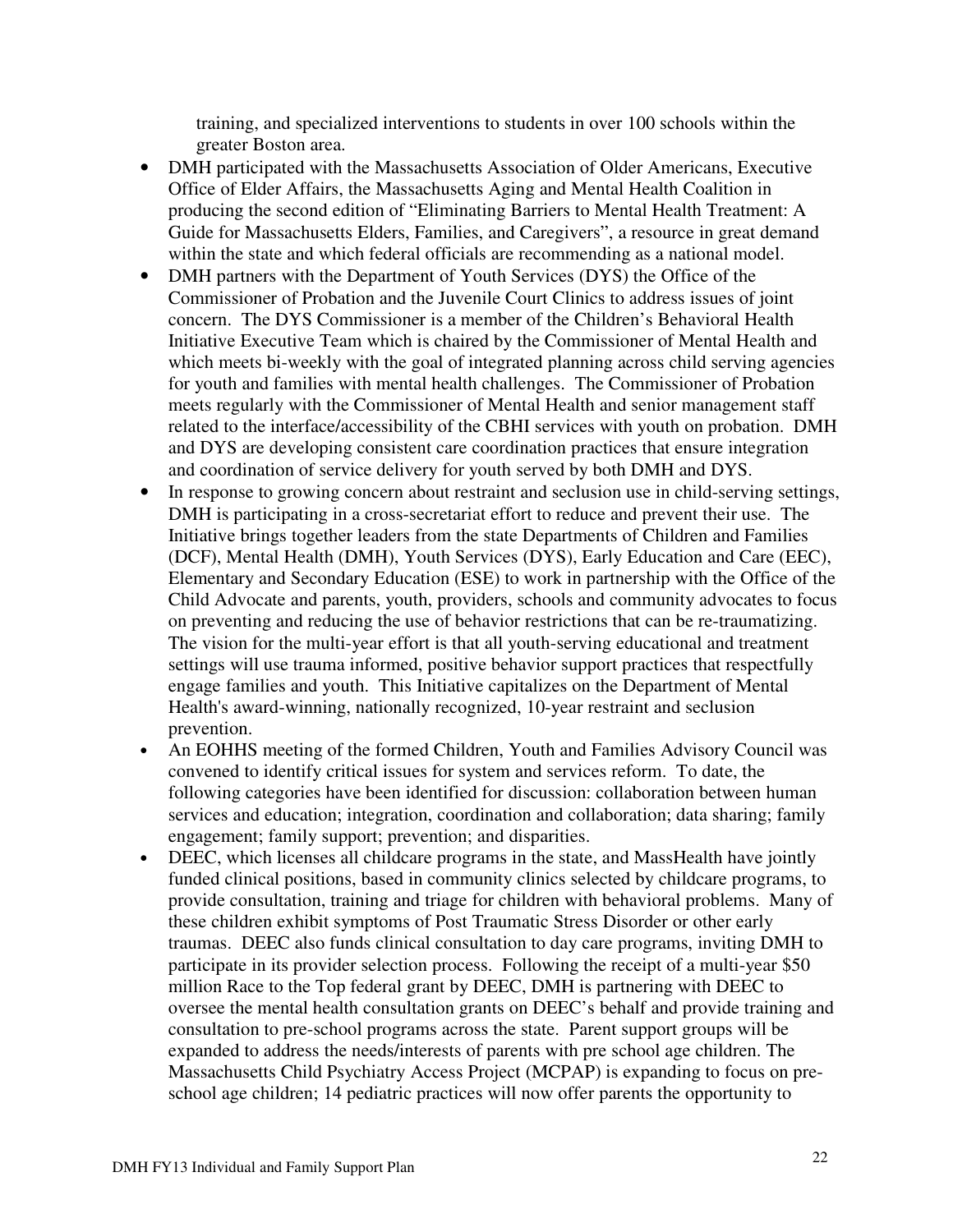training, and specialized interventions to students in over 100 schools within the greater Boston area.

- DMH participated with the Massachusetts Association of Older Americans, Executive Office of Elder Affairs, the Massachusetts Aging and Mental Health Coalition in producing the second edition of "Eliminating Barriers to Mental Health Treatment: A Guide for Massachusetts Elders, Families, and Caregivers", a resource in great demand within the state and which federal officials are recommending as a national model.
- DMH partners with the Department of Youth Services (DYS) the Office of the Commissioner of Probation and the Juvenile Court Clinics to address issues of joint concern. The DYS Commissioner is a member of the Children's Behavioral Health Initiative Executive Team which is chaired by the Commissioner of Mental Health and which meets bi-weekly with the goal of integrated planning across child serving agencies for youth and families with mental health challenges. The Commissioner of Probation meets regularly with the Commissioner of Mental Health and senior management staff related to the interface/accessibility of the CBHI services with youth on probation. DMH and DYS are developing consistent care coordination practices that ensure integration and coordination of service delivery for youth served by both DMH and DYS.
- In response to growing concern about restraint and seclusion use in child-serving settings, DMH is participating in a cross-secretariat effort to reduce and prevent their use. The Initiative brings together leaders from the state Departments of Children and Families (DCF), Mental Health (DMH), Youth Services (DYS), Early Education and Care (EEC), Elementary and Secondary Education (ESE) to work in partnership with the Office of the Child Advocate and parents, youth, providers, schools and community advocates to focus on preventing and reducing the use of behavior restrictions that can be re-traumatizing. The vision for the multi-year effort is that all youth-serving educational and treatment settings will use trauma informed, positive behavior support practices that respectfully engage families and youth. This Initiative capitalizes on the Department of Mental Health's award-winning, nationally recognized, 10-year restraint and seclusion prevention.
- An EOHHS meeting of the formed Children, Youth and Families Advisory Council was convened to identify critical issues for system and services reform. To date, the following categories have been identified for discussion: collaboration between human services and education; integration, coordination and collaboration; data sharing; family engagement; family support; prevention; and disparities.
- DEEC, which licenses all childcare programs in the state, and MassHealth have jointly funded clinical positions, based in community clinics selected by childcare programs, to provide consultation, training and triage for children with behavioral problems. Many of these children exhibit symptoms of Post Traumatic Stress Disorder or other early traumas. DEEC also funds clinical consultation to day care programs, inviting DMH to participate in its provider selection process. Following the receipt of a multi-year \$50 million Race to the Top federal grant by DEEC, DMH is partnering with DEEC to oversee the mental health consultation grants on DEEC's behalf and provide training and consultation to pre-school programs across the state. Parent support groups will be expanded to address the needs/interests of parents with pre school age children. The Massachusetts Child Psychiatry Access Project (MCPAP) is expanding to focus on preschool age children; 14 pediatric practices will now offer parents the opportunity to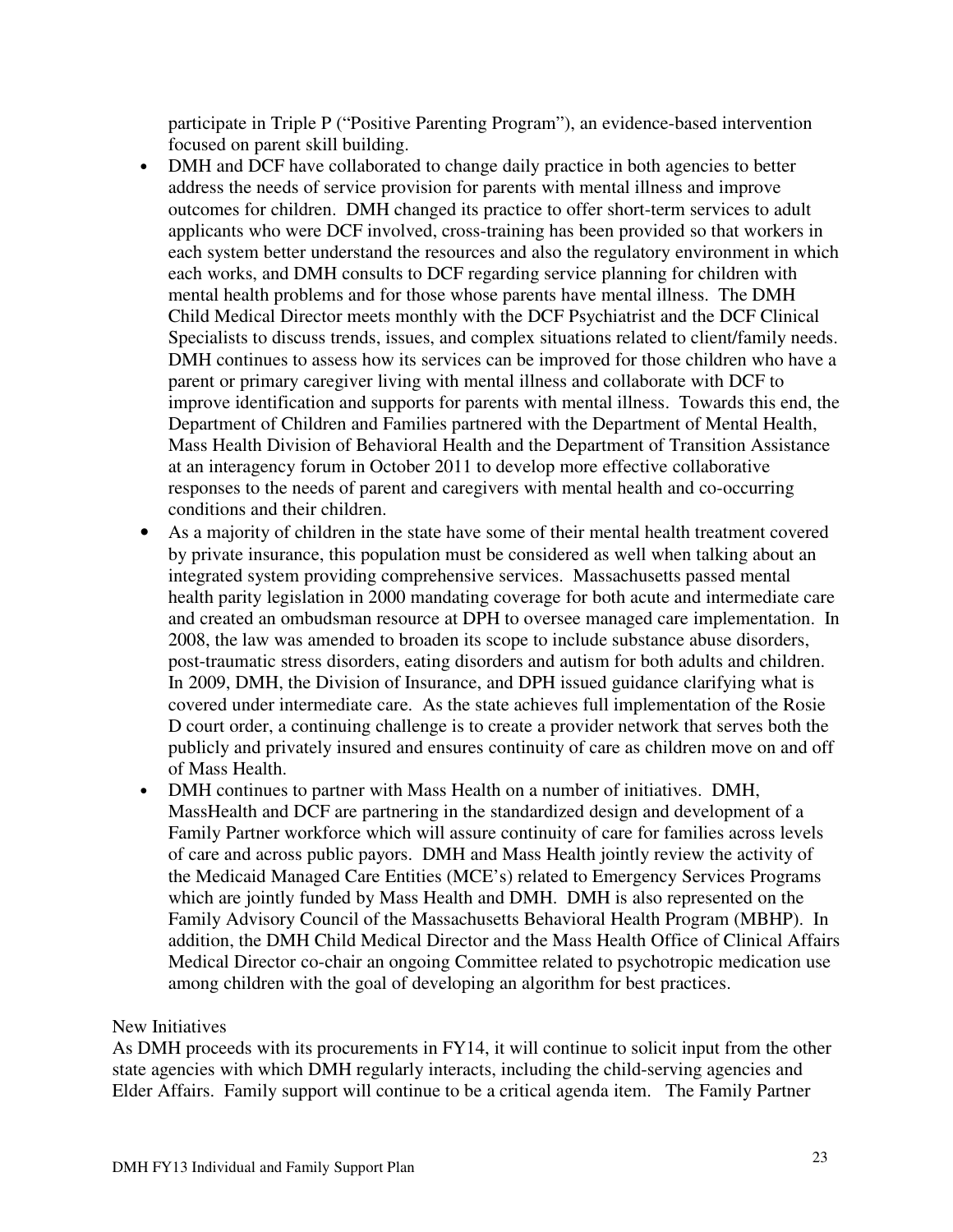participate in Triple P ("Positive Parenting Program"), an evidence-based intervention focused on parent skill building.

- DMH and DCF have collaborated to change daily practice in both agencies to better address the needs of service provision for parents with mental illness and improve outcomes for children. DMH changed its practice to offer short-term services to adult applicants who were DCF involved, cross-training has been provided so that workers in each system better understand the resources and also the regulatory environment in which each works, and DMH consults to DCF regarding service planning for children with mental health problems and for those whose parents have mental illness. The DMH Child Medical Director meets monthly with the DCF Psychiatrist and the DCF Clinical Specialists to discuss trends, issues, and complex situations related to client/family needs. DMH continues to assess how its services can be improved for those children who have a parent or primary caregiver living with mental illness and collaborate with DCF to improve identification and supports for parents with mental illness. Towards this end, the Department of Children and Families partnered with the Department of Mental Health, Mass Health Division of Behavioral Health and the Department of Transition Assistance at an interagency forum in October 2011 to develop more effective collaborative responses to the needs of parent and caregivers with mental health and co-occurring conditions and their children.
- As a majority of children in the state have some of their mental health treatment covered by private insurance, this population must be considered as well when talking about an integrated system providing comprehensive services. Massachusetts passed mental health parity legislation in 2000 mandating coverage for both acute and intermediate care and created an ombudsman resource at DPH to oversee managed care implementation. In 2008, the law was amended to broaden its scope to include substance abuse disorders, post-traumatic stress disorders, eating disorders and autism for both adults and children. In 2009, DMH, the Division of Insurance, and DPH issued guidance clarifying what is covered under intermediate care. As the state achieves full implementation of the Rosie D court order, a continuing challenge is to create a provider network that serves both the publicly and privately insured and ensures continuity of care as children move on and off of Mass Health.
- DMH continues to partner with Mass Health on a number of initiatives. DMH, MassHealth and DCF are partnering in the standardized design and development of a Family Partner workforce which will assure continuity of care for families across levels of care and across public payors. DMH and Mass Health jointly review the activity of the Medicaid Managed Care Entities (MCE's) related to Emergency Services Programs which are jointly funded by Mass Health and DMH. DMH is also represented on the Family Advisory Council of the Massachusetts Behavioral Health Program (MBHP). In addition, the DMH Child Medical Director and the Mass Health Office of Clinical Affairs Medical Director co-chair an ongoing Committee related to psychotropic medication use among children with the goal of developing an algorithm for best practices.

#### New Initiatives

As DMH proceeds with its procurements in FY14, it will continue to solicit input from the other state agencies with which DMH regularly interacts, including the child-serving agencies and Elder Affairs. Family support will continue to be a critical agenda item. The Family Partner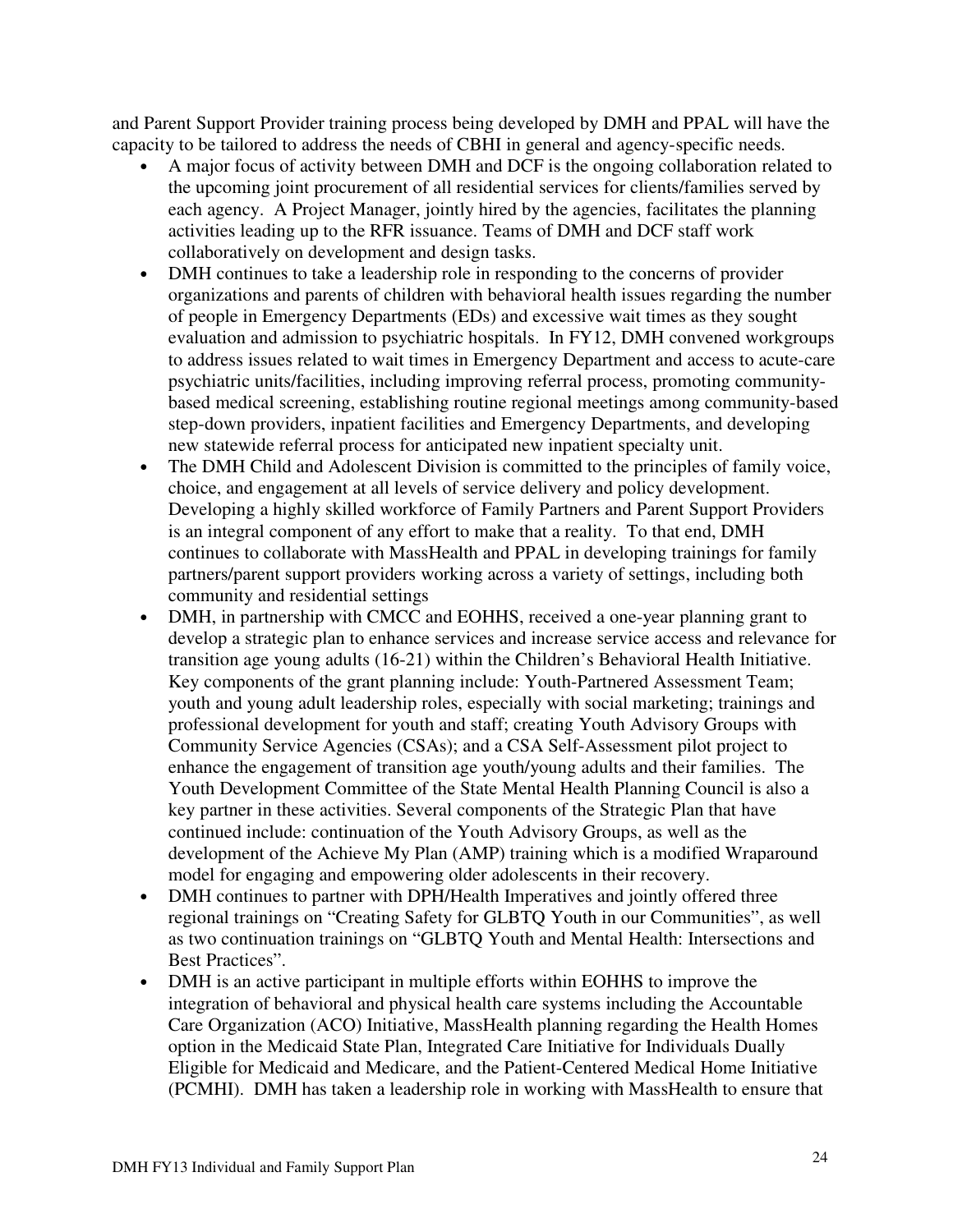and Parent Support Provider training process being developed by DMH and PPAL will have the capacity to be tailored to address the needs of CBHI in general and agency-specific needs.

- A major focus of activity between DMH and DCF is the ongoing collaboration related to the upcoming joint procurement of all residential services for clients/families served by each agency. A Project Manager, jointly hired by the agencies, facilitates the planning activities leading up to the RFR issuance. Teams of DMH and DCF staff work collaboratively on development and design tasks.
- DMH continues to take a leadership role in responding to the concerns of provider organizations and parents of children with behavioral health issues regarding the number of people in Emergency Departments (EDs) and excessive wait times as they sought evaluation and admission to psychiatric hospitals. In FY12, DMH convened workgroups to address issues related to wait times in Emergency Department and access to acute-care psychiatric units/facilities, including improving referral process, promoting communitybased medical screening, establishing routine regional meetings among community-based step-down providers, inpatient facilities and Emergency Departments, and developing new statewide referral process for anticipated new inpatient specialty unit.
- The DMH Child and Adolescent Division is committed to the principles of family voice, choice, and engagement at all levels of service delivery and policy development. Developing a highly skilled workforce of Family Partners and Parent Support Providers is an integral component of any effort to make that a reality. To that end, DMH continues to collaborate with MassHealth and PPAL in developing trainings for family partners/parent support providers working across a variety of settings, including both community and residential settings
- DMH, in partnership with CMCC and EOHHS, received a one-year planning grant to develop a strategic plan to enhance services and increase service access and relevance for transition age young adults (16-21) within the Children's Behavioral Health Initiative. Key components of the grant planning include: Youth-Partnered Assessment Team; youth and young adult leadership roles, especially with social marketing; trainings and professional development for youth and staff; creating Youth Advisory Groups with Community Service Agencies (CSAs); and a CSA Self-Assessment pilot project to enhance the engagement of transition age youth/young adults and their families. The Youth Development Committee of the State Mental Health Planning Council is also a key partner in these activities. Several components of the Strategic Plan that have continued include: continuation of the Youth Advisory Groups, as well as the development of the Achieve My Plan (AMP) training which is a modified Wraparound model for engaging and empowering older adolescents in their recovery.
- DMH continues to partner with DPH/Health Imperatives and jointly offered three regional trainings on "Creating Safety for GLBTQ Youth in our Communities", as well as two continuation trainings on "GLBTQ Youth and Mental Health: Intersections and Best Practices".
- DMH is an active participant in multiple efforts within EOHHS to improve the integration of behavioral and physical health care systems including the Accountable Care Organization (ACO) Initiative, MassHealth planning regarding the Health Homes option in the Medicaid State Plan, Integrated Care Initiative for Individuals Dually Eligible for Medicaid and Medicare, and the Patient-Centered Medical Home Initiative (PCMHI). DMH has taken a leadership role in working with MassHealth to ensure that